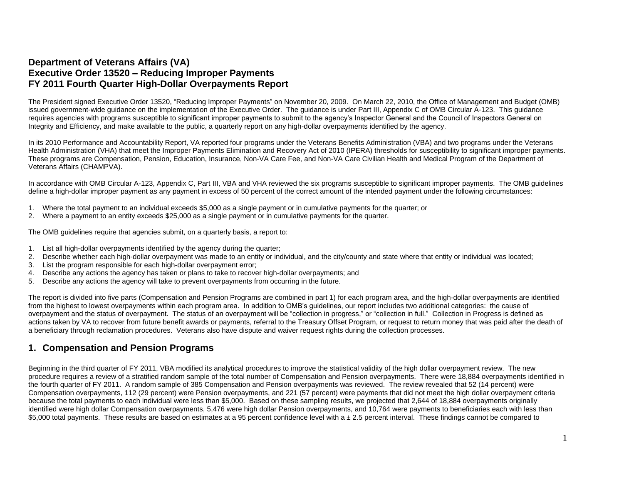### **Department of Veterans Affairs (VA) Executive Order 13520 – Reducing Improper Payments FY 2011 Fourth Quarter High-Dollar Overpayments Report**

The President signed Executive Order 13520, "Reducing Improper Payments" on November 20, 2009. On March 22, 2010, the Office of Management and Budget (OMB) issued government-wide guidance on the implementation of the Executive Order. The guidance is under Part III, Appendix C of OMB Circular A-123. This guidance requires agencies with programs susceptible to significant improper payments to submit to the agency's Inspector General and the Council of Inspectors General on Integrity and Efficiency, and make available to the public, a quarterly report on any high-dollar overpayments identified by the agency.

In its 2010 Performance and Accountability Report, VA reported four programs under the Veterans Benefits Administration (VBA) and two programs under the Veterans Health Administration (VHA) that meet the Improper Payments Elimination and Recovery Act of 2010 (IPERA) thresholds for susceptibility to significant improper payments. These programs are Compensation, Pension, Education, Insurance, Non-VA Care Fee, and Non-VA Care Civilian Health and Medical Program of the Department of Veterans Affairs (CHAMPVA).

In accordance with OMB Circular A-123, Appendix C, Part III, VBA and VHA reviewed the six programs susceptible to significant improper payments. The OMB guidelines define a high-dollar improper payment as any payment in excess of 50 percent of the correct amount of the intended payment under the following circumstances:

- 1. Where the total payment to an individual exceeds \$5,000 as a single payment or in cumulative payments for the quarter; or
- 2. Where a payment to an entity exceeds \$25,000 as a single payment or in cumulative payments for the quarter.

The OMB guidelines require that agencies submit, on a quarterly basis, a report to:

- 1. List all high-dollar overpayments identified by the agency during the quarter;
- 2. Describe whether each high-dollar overpayment was made to an entity or individual, and the city/county and state where that entity or individual was located;
- 3. List the program responsible for each high-dollar overpayment error;
- 4. Describe any actions the agency has taken or plans to take to recover high-dollar overpayments; and
- 5. Describe any actions the agency will take to prevent overpayments from occurring in the future.

The report is divided into five parts (Compensation and Pension Programs are combined in part 1) for each program area, and the high-dollar overpayments are identified from the highest to lowest overpayments within each program area. In addition to OMB's guidelines, our report includes two additional categories: the cause of overpayment and the status of overpayment. The status of an overpayment will be "collection in progress," or "collection in full." Collection in Progress is defined as actions taken by VA to recover from future benefit awards or payments, referral to the Treasury Offset Program, or request to return money that was paid after the death of a beneficiary through reclamation procedures. Veterans also have dispute and waiver request rights during the collection processes.

### **1. Compensation and Pension Programs**

Beginning in the third quarter of FY 2011, VBA modified its analytical procedures to improve the statistical validity of the high dollar overpayment review. The new procedure requires a review of a stratified random sample of the total number of Compensation and Pension overpayments. There were 18,884 overpayments identified in the fourth quarter of FY 2011. A random sample of 385 Compensation and Pension overpayments was reviewed. The review revealed that 52 (14 percent) were Compensation overpayments, 112 (29 percent) were Pension overpayments, and 221 (57 percent) were payments that did not meet the high dollar overpayment criteria because the total payments to each individual were less than \$5,000. Based on these sampling results, we projected that 2,644 of 18,884 overpayments originally identified were high dollar Compensation overpayments, 5,476 were high dollar Pension overpayments, and 10,764 were payments to beneficiaries each with less than \$5,000 total payments. These results are based on estimates at a 95 percent confidence level with a ± 2.5 percent interval. These findings cannot be compared to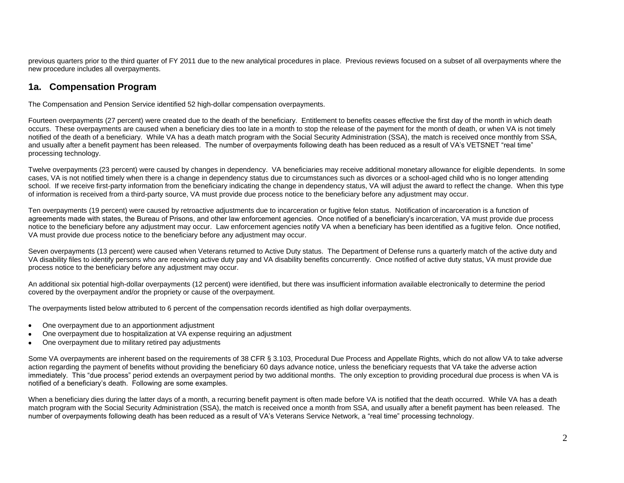previous quarters prior to the third quarter of FY 2011 due to the new analytical procedures in place. Previous reviews focused on a subset of all overpayments where the new procedure includes all overpayments.

### **1a. Compensation Program**

The Compensation and Pension Service identified 52 high-dollar compensation overpayments.

Fourteen overpayments (27 percent) were created due to the death of the beneficiary. Entitlement to benefits ceases effective the first day of the month in which death occurs. These overpayments are caused when a beneficiary dies too late in a month to stop the release of the payment for the month of death, or when VA is not timely notified of the death of a beneficiary. While VA has a death match program with the Social Security Administration (SSA), the match is received once monthly from SSA, and usually after a benefit payment has been released. The number of overpayments following death has been reduced as a result of VA's VETSNET "real time" processing technology.

Twelve overpayments (23 percent) were caused by changes in dependency. VA beneficiaries may receive additional monetary allowance for eligible dependents. In some cases, VA is not notified timely when there is a change in dependency status due to circumstances such as divorces or a school-aged child who is no longer attending school. If we receive first-party information from the beneficiary indicating the change in dependency status, VA will adjust the award to reflect the change. When this type of information is received from a third-party source, VA must provide due process notice to the beneficiary before any adjustment may occur.

Ten overpayments (19 percent) were caused by retroactive adjustments due to incarceration or fugitive felon status. Notification of incarceration is a function of agreements made with states, the Bureau of Prisons, and other law enforcement agencies. Once notified of a beneficiary's incarceration, VA must provide due process notice to the beneficiary before any adjustment may occur. Law enforcement agencies notify VA when a beneficiary has been identified as a fugitive felon. Once notified, VA must provide due process notice to the beneficiary before any adjustment may occur.

Seven overpayments (13 percent) were caused when Veterans returned to Active Duty status. The Department of Defense runs a quarterly match of the active duty and VA disability files to identify persons who are receiving active duty pay and VA disability benefits concurrently. Once notified of active duty status, VA must provide due process notice to the beneficiary before any adjustment may occur.

An additional six potential high-dollar overpayments (12 percent) were identified, but there was insufficient information available electronically to determine the period covered by the overpayment and/or the propriety or cause of the overpayment.

The overpayments listed below attributed to 6 percent of the compensation records identified as high dollar overpayments.

- One overpayment due to an apportionment adjustment  $\bullet$
- One overpayment due to hospitalization at VA expense requiring an adjustment  $\bullet$
- One overpayment due to military retired pay adjustments  $\bullet$

Some VA overpayments are inherent based on the requirements of 38 CFR § 3.103, Procedural Due Process and Appellate Rights, which do not allow VA to take adverse action regarding the payment of benefits without providing the beneficiary 60 days advance notice, unless the beneficiary requests that VA take the adverse action immediately. This "due process" period extends an overpayment period by two additional months. The only exception to providing procedural due process is when VA is notified of a beneficiary's death. Following are some examples.

When a beneficiary dies during the latter days of a month, a recurring benefit payment is often made before VA is notified that the death occurred. While VA has a death match program with the Social Security Administration (SSA), the match is received once a month from SSA, and usually after a benefit payment has been released. The number of overpayments following death has been reduced as a result of VA's Veterans Service Network, a "real time" processing technology.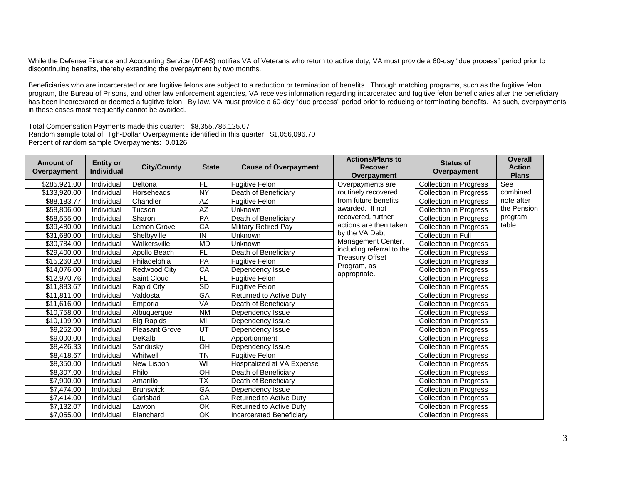While the Defense Finance and Accounting Service (DFAS) notifies VA of Veterans who return to active duty, VA must provide a 60-day "due process" period prior to discontinuing benefits, thereby extending the overpayment by two months.

Beneficiaries who are incarcerated or are fugitive felons are subject to a reduction or termination of benefits. Through matching programs, such as the fugitive felon program, the Bureau of Prisons, and other law enforcement agencies, VA receives information regarding incarcerated and fugitive felon beneficiaries after the beneficiary has been incarcerated or deemed a fugitive felon. By law, VA must provide a 60-day "due process" period prior to reducing or terminating benefits. As such, overpayments in these cases most frequently cannot be avoided.

Total Compensation Payments made this quarter: \$8,355,786,125.07 Random sample total of High-Dollar Overpayments identified in this quarter: \$1,056,096.70 Percent of random sample Overpayments: 0.0126

| <b>Amount of</b><br>Overpayment | <b>Entity or</b><br><b>Individual</b> | <b>City/County</b>    | <b>State</b>             | <b>Cause of Overpayment</b>     | <b>Actions/Plans to</b><br><b>Recover</b><br>Overpayment | <b>Status of</b><br>Overpayment | <b>Overall</b><br><b>Action</b><br><b>Plans</b> |
|---------------------------------|---------------------------------------|-----------------------|--------------------------|---------------------------------|----------------------------------------------------------|---------------------------------|-------------------------------------------------|
| \$285,921.00                    | Individual                            | Deltona               | <b>FL</b>                | <b>Fugitive Felon</b>           | Overpayments are                                         | <b>Collection in Progress</b>   | See                                             |
| \$133,920.00                    | Individual                            | Horseheads            | <b>NY</b>                | Death of Beneficiary            | routinely recovered                                      | <b>Collection in Progress</b>   | combined                                        |
| \$88,183.77                     | Individual                            | Chandler              | AZ                       | <b>Fugitive Felon</b>           | from future benefits                                     | <b>Collection in Progress</b>   | note after                                      |
| \$58,806.00                     | Individual                            | Tucson                | $\overline{AZ}$          | Unknown                         | awarded. If not                                          | <b>Collection in Progress</b>   | the Pension                                     |
| \$58,555.00                     | Individual                            | Sharon                | PA                       | Death of Beneficiary            | recovered, further                                       | <b>Collection in Progress</b>   | program                                         |
| \$39,480.00                     | Individual                            | Lemon Grove           | CA                       | <b>Military Retired Pay</b>     | actions are then taken                                   | <b>Collection in Progress</b>   | table                                           |
| \$31,680.00                     | Individual                            | Shelbyville           | $\sf IN$                 | Unknown                         | by the VA Debt                                           | Collection in Full              |                                                 |
| \$30,784.00                     | Individual                            | Walkersville          | <b>MD</b>                | Unknown                         | Management Center,                                       | <b>Collection in Progress</b>   |                                                 |
| \$29,400.00                     | Individual                            | Apollo Beach          | <b>FL</b>                | Death of Beneficiary            | including referral to the                                | <b>Collection in Progress</b>   |                                                 |
| \$15,260.20                     | Individual                            | Philadelphia          | PA                       | <b>Fugitive Felon</b>           | <b>Treasury Offset</b>                                   | <b>Collection in Progress</b>   |                                                 |
| \$14,076.00                     | Individual                            | <b>Redwood City</b>   | CA                       | Dependency Issue                | Program, as                                              | <b>Collection in Progress</b>   |                                                 |
| \$12,970.76                     | Individual                            | Saint Cloud           | <b>FL</b>                | <b>Fugitive Felon</b>           | appropriate.                                             | <b>Collection in Progress</b>   |                                                 |
| \$11,883.67                     | Individual                            | <b>Rapid City</b>     | SD                       | <b>Fugitive Felon</b>           |                                                          | <b>Collection in Progress</b>   |                                                 |
| \$11,811.00                     | Individual                            | Valdosta              | GA                       | Returned to Active Duty         |                                                          | <b>Collection in Progress</b>   |                                                 |
| \$11,616.00                     | Individual                            | Emporia               | VA                       | Death of Beneficiary            |                                                          | <b>Collection in Progress</b>   |                                                 |
| \$10,758.00                     | Individual                            | Albuquerque           | <b>NM</b>                | Dependency Issue                |                                                          | <b>Collection in Progress</b>   |                                                 |
| \$10,199.90                     | Individual                            | <b>Big Rapids</b>     | MI                       | Dependency Issue                |                                                          | <b>Collection in Progress</b>   |                                                 |
| \$9,252.00                      | Individual                            | <b>Pleasant Grove</b> | UT                       | Dependency Issue                |                                                          | <b>Collection in Progress</b>   |                                                 |
| \$9,000.00                      | Individual                            | DeKalb                | IL                       | Apportionment                   |                                                          | <b>Collection in Progress</b>   |                                                 |
| \$8,426.33                      | Individual                            | Sandusky              | $\overline{CH}$          | Dependency Issue                |                                                          | <b>Collection in Progress</b>   |                                                 |
| \$8,418.67                      | Individual                            | Whitwell              | <b>TN</b>                | <b>Fugitive Felon</b>           |                                                          | <b>Collection in Progress</b>   |                                                 |
| \$8,350.00                      | Individual                            | New Lisbon            | WI                       | Hospitalized at VA Expense      |                                                          | <b>Collection in Progress</b>   |                                                 |
| \$8,307.00                      | Individual                            | Philo                 | $rac{}{O}$               | Death of Beneficiary            |                                                          | <b>Collection in Progress</b>   |                                                 |
| \$7,900.00                      | Individual                            | Amarillo              | $\overline{\mathsf{TX}}$ | Death of Beneficiary            |                                                          | <b>Collection in Progress</b>   |                                                 |
| \$7,474.00                      | Individual                            | <b>Brunswick</b>      | GA                       | Dependency Issue                |                                                          | <b>Collection in Progress</b>   |                                                 |
| \$7,414.00                      | Individual                            | Carlsbad              | CA                       | Returned to Active Duty         |                                                          | <b>Collection in Progress</b>   |                                                 |
| \$7,132.07                      | Individual                            | Lawton                | OK                       | <b>Returned to Active Duty</b>  |                                                          | <b>Collection in Progress</b>   |                                                 |
| \$7,055.00                      | Individual                            | <b>Blanchard</b>      | OK                       | <b>Incarcerated Beneficiary</b> |                                                          | <b>Collection in Progress</b>   |                                                 |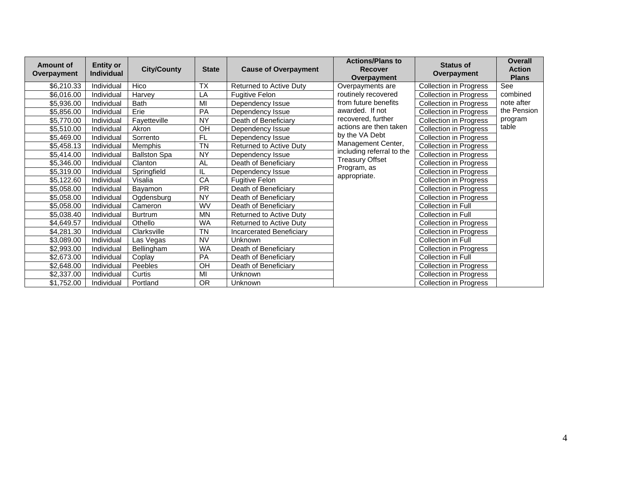| <b>Amount of</b><br>Overpayment | <b>Entity or</b><br>Individual | <b>City/County</b>  | <b>State</b> | <b>Cause of Overpayment</b>     | <b>Actions/Plans to</b><br><b>Recover</b><br>Overpayment | <b>Status of</b><br>Overpayment | <b>Overall</b><br><b>Action</b><br><b>Plans</b> |
|---------------------------------|--------------------------------|---------------------|--------------|---------------------------------|----------------------------------------------------------|---------------------------------|-------------------------------------------------|
| \$6,210.33                      | Individual                     | Hico                | <b>TX</b>    | Returned to Active Duty         | Overpayments are                                         | <b>Collection in Progress</b>   | See                                             |
| \$6,016.00                      | Individual                     | Harvey              | LA           | <b>Fugitive Felon</b>           | routinely recovered                                      | <b>Collection in Progress</b>   | combined                                        |
| \$5,936.00                      | Individual                     | <b>Bath</b>         | MI           | Dependency Issue                | from future benefits                                     | <b>Collection in Progress</b>   | note after                                      |
| \$5,856.00                      | Individual                     | Erie                | PA           | Dependency Issue                | awarded. If not                                          | <b>Collection in Progress</b>   | the Pension                                     |
| \$5,770.00                      | Individual                     | Fayetteville        | <b>NY</b>    | Death of Beneficiary            | recovered, further                                       | <b>Collection in Progress</b>   | program                                         |
| \$5,510.00                      | Individual                     | Akron               | OH           | Dependency Issue                | actions are then taken                                   | <b>Collection in Progress</b>   | table                                           |
| \$5,469.00                      | Individual                     | Sorrento            | <b>FL</b>    | Dependency Issue                | by the VA Debt                                           | <b>Collection in Progress</b>   |                                                 |
| \$5,458.13                      | Individual                     | Memphis             | <b>TN</b>    | Returned to Active Duty         | Management Center,                                       | <b>Collection in Progress</b>   |                                                 |
| \$5,414.00                      | Individual                     | <b>Ballston Spa</b> | <b>NY</b>    | Dependency Issue                | including referral to the                                | <b>Collection in Progress</b>   |                                                 |
| \$5,346.00                      | Individual                     | Clanton             | <b>AL</b>    | Death of Beneficiary            | <b>Treasury Offset</b>                                   | <b>Collection in Progress</b>   |                                                 |
| \$5,319.00                      | Individual                     | Springfield         | IL           | Dependency Issue                | Program, as                                              | <b>Collection in Progress</b>   |                                                 |
| \$5,122.60                      | Individual                     | Visalia             | CA           | <b>Fugitive Felon</b>           | appropriate.                                             | <b>Collection in Progress</b>   |                                                 |
| \$5,058.00                      | Individual                     | Bayamon             | <b>PR</b>    | Death of Beneficiary            |                                                          | Collection in Progress          |                                                 |
| \$5,058.00                      | Individual                     | Ogdensburg          | <b>NY</b>    | Death of Beneficiary            |                                                          | <b>Collection in Progress</b>   |                                                 |
| \$5,058.00                      | Individual                     | Cameron             | WV           | Death of Beneficiary            |                                                          | Collection in Full              |                                                 |
| \$5,038.40                      | Individual                     | <b>Burtrum</b>      | <b>MN</b>    | <b>Returned to Active Duty</b>  |                                                          | Collection in Full              |                                                 |
| \$4,649.57                      | Individual                     | Othello             | <b>WA</b>    | <b>Returned to Active Duty</b>  |                                                          | <b>Collection in Progress</b>   |                                                 |
| \$4,281.30                      | Individual                     | Clarksville         | <b>TN</b>    | <b>Incarcerated Beneficiary</b> |                                                          | <b>Collection in Progress</b>   |                                                 |
| \$3,089.00                      | Individual                     | Las Vegas           | <b>NV</b>    | Unknown                         |                                                          | <b>Collection in Full</b>       |                                                 |
| \$2,993.00                      | Individual                     | Bellingham          | <b>WA</b>    | Death of Beneficiary            |                                                          | <b>Collection in Progress</b>   |                                                 |
| \$2,673.00                      | Individual                     | Coplay              | PA           | Death of Beneficiary            |                                                          | Collection in Full              |                                                 |
| \$2,648.00                      | Individual                     | Peebles             | OH           | Death of Beneficiary            |                                                          | <b>Collection in Progress</b>   |                                                 |
| \$2,337.00                      | Individual                     | Curtis              | MI           | Unknown                         |                                                          | <b>Collection in Progress</b>   |                                                 |
| \$1,752.00                      | Individual                     | Portland            | <b>OR</b>    | Unknown                         |                                                          | <b>Collection in Progress</b>   |                                                 |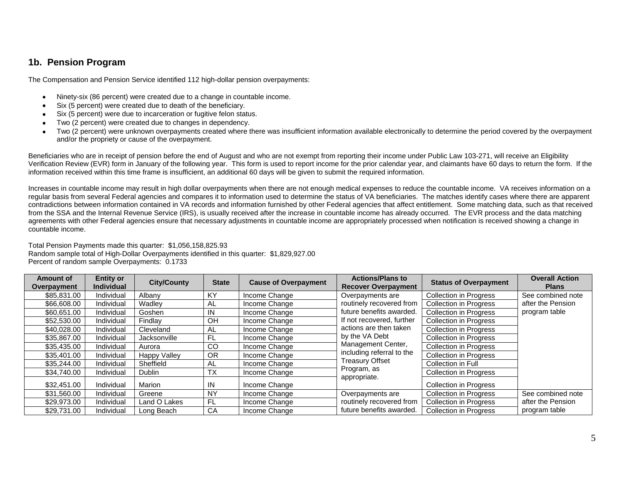## **1b. Pension Program**

The Compensation and Pension Service identified 112 high-dollar pension overpayments:

- Ninety-six (86 percent) were created due to a change in countable income.
- Six (5 percent) were created due to death of the beneficiary.  $\bullet$
- Six (5 percent) were due to incarceration or fugitive felon status.
- Two (2 percent) were created due to changes in dependency.
- Two (2 percent) were unknown overpayments created where there was insufficient information available electronically to determine the period covered by the overpayment and/or the propriety or cause of the overpayment.

Beneficiaries who are in receipt of pension before the end of August and who are not exempt from reporting their income under Public Law 103-271, will receive an Eligibility Verification Review (EVR) form in January of the following year. This form is used to report income for the prior calendar year, and claimants have 60 days to return the form. If the information received within this time frame is insufficient, an additional 60 days will be given to submit the required information.

Increases in countable income may result in high dollar overpayments when there are not enough medical expenses to reduce the countable income. VA receives information on a regular basis from several Federal agencies and compares it to information used to determine the status of VA beneficiaries. The matches identify cases where there are apparent contradictions between information contained in VA records and information furnished by other Federal agencies that affect entitlement. Some matching data, such as that received from the SSA and the Internal Revenue Service (IRS), is usually received after the increase in countable income has already occurred. The EVR process and the data matching agreements with other Federal agencies ensure that necessary adjustments in countable income are appropriately processed when notification is received showing a change in countable income.

Total Pension Payments made this quarter: \$1,056,158,825.93 Random sample total of High-Dollar Overpayments identified in this quarter: \$1,829,927.00 Percent of random sample Overpayments: 0.1733

| <b>Amount of</b><br>Overpayment | <b>Entity or</b><br><b>Individual</b> | <b>City/County</b>  | <b>State</b> | <b>Cause of Overpayment</b> | <b>Actions/Plans to</b><br><b>Recover Overpayment</b> | <b>Status of Overpayment</b>  | <b>Overall Action</b><br><b>Plans</b> |
|---------------------------------|---------------------------------------|---------------------|--------------|-----------------------------|-------------------------------------------------------|-------------------------------|---------------------------------------|
| \$85,831.00                     | Individual                            | Albany              | <b>KY</b>    | Income Change               | Overpayments are                                      | <b>Collection in Progress</b> | See combined note                     |
| \$66,608.00                     | Individual                            | Wadley              | AL           | Income Change               | routinely recovered from                              | <b>Collection in Progress</b> | after the Pension                     |
| \$60,651,00                     | Individual                            | Goshen              | IN           | Income Change               | future benefits awarded.                              | <b>Collection in Progress</b> | program table                         |
| \$52,530.00                     | Individual                            | Findlav             | OΗ           | Income Change               | If not recovered, further                             | <b>Collection in Progress</b> |                                       |
| \$40,028,00                     | Individual                            | Cleveland           | AL           | Income Change               | actions are then taken                                | <b>Collection in Progress</b> |                                       |
| \$35,867,00                     | Individual                            | Jacksonville        | FL.          | Income Change               | by the VA Debt                                        | <b>Collection in Progress</b> |                                       |
| \$35,435.00                     | Individual                            | Aurora              | CO           | Income Change               | Management Center,                                    | <b>Collection in Progress</b> |                                       |
| \$35,401.00                     | Individual                            | <b>Happy Valley</b> | <b>OR</b>    | Income Change               | including referral to the                             | <b>Collection in Progress</b> |                                       |
| \$35,244.00                     | Individual                            | Sheffield           | AL           | Income Change               | Treasury Offset                                       | Collection in Full            |                                       |
| \$34,740.00                     | Individual                            | Dublin              | <b>TX</b>    | Income Change               | Program, as                                           | <b>Collection in Progress</b> |                                       |
| \$32,451.00                     | Individual                            | Marion              | ΙN           | Income Change               | appropriate.                                          | <b>Collection in Progress</b> |                                       |
| \$31,560.00                     | Individual                            | Greene              | <b>NY</b>    | Income Change               | Overpayments are                                      | <b>Collection in Progress</b> | See combined note                     |
| \$29,973.00                     | Individual                            | Land O Lakes        | FL.          | Income Change               | routinely recovered from                              | <b>Collection in Progress</b> | after the Pension                     |
| \$29,731.00                     | Individual                            | Long Beach          | CA           | Income Change               | future benefits awarded.                              | <b>Collection in Progress</b> | program table                         |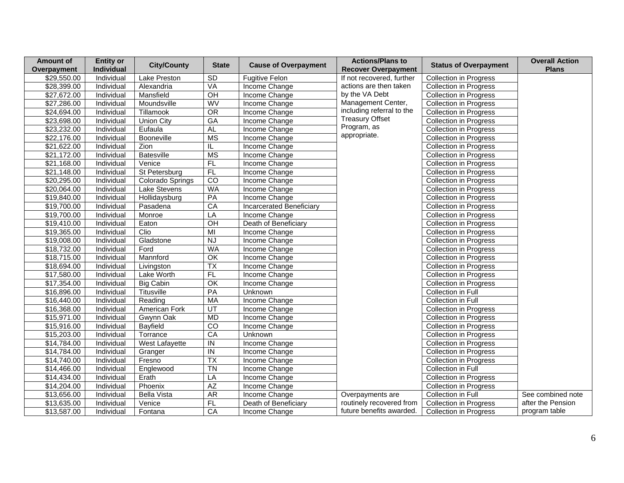| <b>Amount of</b><br>Overpayment | <b>Entity or</b><br>Individual | <b>City/County</b>   | <b>State</b>             | <b>Cause of Overpayment</b>     | <b>Actions/Plans to</b><br><b>Recover Overpayment</b> | <b>Status of Overpayment</b>  | <b>Overall Action</b><br><b>Plans</b> |
|---------------------------------|--------------------------------|----------------------|--------------------------|---------------------------------|-------------------------------------------------------|-------------------------------|---------------------------------------|
| \$29,550.00                     | Individual                     | Lake Preston         | SD                       | <b>Fugitive Felon</b>           | If not recovered, further                             | <b>Collection in Progress</b> |                                       |
| \$28,399.00                     | Individual                     | Alexandria           | VA                       | Income Change                   | actions are then taken                                | <b>Collection in Progress</b> |                                       |
| \$27,672.00                     | Individual                     | Mansfield            | $\overline{OH}$          | Income Change                   | by the VA Debt                                        | <b>Collection in Progress</b> |                                       |
| \$27,286.00                     | Individual                     | Moundsville          | WV                       | Income Change                   | Management Center,                                    | <b>Collection in Progress</b> |                                       |
| \$24,694.00                     | Individual                     | Tillamook            | OR                       | Income Change                   | including referral to the                             | Collection in Progress        |                                       |
| \$23,698.00                     | Individual                     | <b>Union City</b>    | $G$ A                    | Income Change                   | <b>Treasury Offset</b>                                | <b>Collection in Progress</b> |                                       |
| \$23,232.00                     | Individual                     | Eufaula              | <b>AL</b>                | Income Change                   | Program, as                                           | <b>Collection in Progress</b> |                                       |
| \$22,176.00                     | Individual                     | Booneville           | <b>MS</b>                | Income Change                   | appropriate.                                          | Collection in Progress        |                                       |
| \$21,622.00                     | Individual                     | Zion                 | IL                       | Income Change                   |                                                       | <b>Collection in Progress</b> |                                       |
| \$21,172.00                     | Individual                     | Batesville           | <b>MS</b>                | Income Change                   |                                                       | <b>Collection in Progress</b> |                                       |
| \$21,168.00                     | Individual                     | Venice               | F                        | Income Change                   |                                                       | <b>Collection in Progress</b> |                                       |
| $\sqrt{$21,148.00}$             | Individual                     | St Petersburg        | FL                       | Income Change                   |                                                       | <b>Collection in Progress</b> |                                       |
| \$20,295.00                     | Individual                     | Colorado Springs     | $\overline{co}$          | Income Change                   |                                                       | <b>Collection in Progress</b> |                                       |
| \$20,064.00                     | Individual                     | Lake Stevens         | <b>WA</b>                | Income Change                   |                                                       | <b>Collection in Progress</b> |                                       |
| \$19,840.00                     | Individual                     | Hollidaysburg        | PA                       | Income Change                   |                                                       | <b>Collection in Progress</b> |                                       |
| \$19,700.00                     | Individual                     | Pasadena             | CA                       | <b>Incarcerated Beneficiary</b> |                                                       | <b>Collection in Progress</b> |                                       |
| \$19,700.00                     | Individual                     | Monroe               | LA                       | Income Change                   |                                                       | <b>Collection in Progress</b> |                                       |
| \$19,410.00                     | Individual                     | Eaton                | $\overline{OH}$          | Death of Beneficiary            |                                                       | <b>Collection in Progress</b> |                                       |
| \$19,365.00                     | Individual                     | Clio                 | MI                       | Income Change                   |                                                       | <b>Collection in Progress</b> |                                       |
| \$19,008.00                     | Individual                     | Gladstone            | <b>NJ</b>                | Income Change                   |                                                       | <b>Collection in Progress</b> |                                       |
| \$18,732.00                     | Individual                     | Ford                 | <b>WA</b>                | Income Change                   |                                                       | <b>Collection in Progress</b> |                                       |
| \$18,715.00                     | Individual                     | Mannford             | $\overline{OK}$          | Income Change                   |                                                       | <b>Collection in Progress</b> |                                       |
| \$18,694.00                     | Individual                     | Livingston           | $\overline{TX}$          | Income Change                   |                                                       | <b>Collection in Progress</b> |                                       |
| \$17,580.00                     | Individual                     | Lake Worth           | FL                       | Income Change                   |                                                       | <b>Collection in Progress</b> |                                       |
| \$17,354.00                     | Individual                     | <b>Big Cabin</b>     | $\overline{OK}$          | Income Change                   |                                                       | <b>Collection in Progress</b> |                                       |
| \$16,896.00                     | Individual                     | <b>Titusville</b>    | PA                       | Unknown                         |                                                       | Collection in Full            |                                       |
| \$16,440.00                     | Individual                     | Reading              | MA                       | Income Change                   |                                                       | Collection in Full            |                                       |
| \$16,368.00                     | Individual                     | <b>American Fork</b> | UT                       | Income Change                   |                                                       | <b>Collection in Progress</b> |                                       |
| \$15,971.00                     | Individual                     | Gwynn Oak            | <b>MD</b>                | Income Change                   |                                                       | <b>Collection in Progress</b> |                                       |
| \$15,916.00                     | Individual                     | Bayfield             | $\overline{co}$          | Income Change                   |                                                       | <b>Collection in Progress</b> |                                       |
| \$15,203.00                     | Individual                     | Torrance             | CA                       | Unknown                         |                                                       | <b>Collection in Progress</b> |                                       |
| \$14,784.00                     | Individual                     | West Lafayette       | $\overline{I}$           | Income Change                   |                                                       | <b>Collection in Progress</b> |                                       |
| \$14,784.00                     | Individual                     | Granger              | $\overline{N}$           | Income Change                   |                                                       | <b>Collection in Progress</b> |                                       |
| \$14,740.00                     | Individual                     | Fresno               | $\overline{\mathsf{TX}}$ | Income Change                   |                                                       | <b>Collection in Progress</b> |                                       |
| \$14,466.00                     | Individual                     | Englewood            | <b>TN</b>                | Income Change                   |                                                       | <b>Collection in Full</b>     |                                       |
| \$14,434.00                     | Individual                     | Erath                | LA                       | Income Change                   |                                                       | <b>Collection in Progress</b> |                                       |
| \$14,204.00                     | Individual                     | Phoenix              | AZ                       | Income Change                   |                                                       | <b>Collection in Progress</b> |                                       |
| \$13,656.00                     | Individual                     | <b>Bella Vista</b>   | A <sub>R</sub>           | Income Change                   | Overpayments are                                      | Collection in Full            | See combined note                     |
| \$13,635.00                     | Individual                     | Venice               | FL                       | Death of Beneficiary            | routinely recovered from                              | <b>Collection in Progress</b> | after the Pension                     |
| \$13,587.00                     | Individual                     | Fontana              | CA                       | Income Change                   | future benefits awarded.                              | <b>Collection in Progress</b> | program table                         |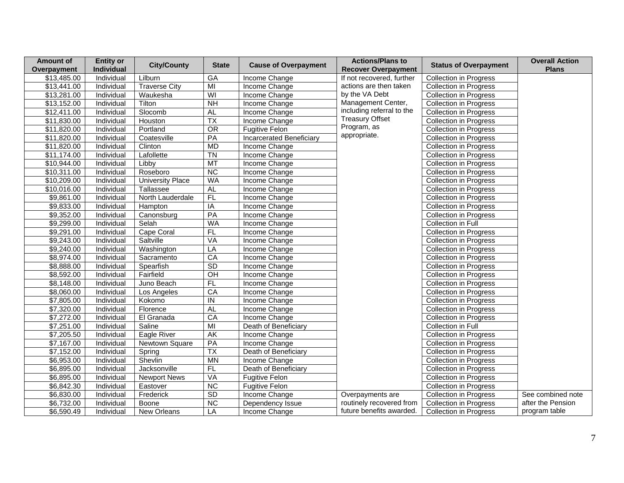| <b>Amount of</b><br>Overpayment | <b>Entity or</b><br>Individual | <b>City/County</b>      | <b>State</b>    | <b>Cause of Overpayment</b> | <b>Actions/Plans to</b><br><b>Recover Overpayment</b> | <b>Status of Overpayment</b>  | <b>Overall Action</b><br><b>Plans</b> |
|---------------------------------|--------------------------------|-------------------------|-----------------|-----------------------------|-------------------------------------------------------|-------------------------------|---------------------------------------|
| \$13,485.00                     | Individual                     | Lilburn                 | GA              | Income Change               | If not recovered, further                             | <b>Collection in Progress</b> |                                       |
| \$13,441.00                     | Individual                     | <b>Traverse City</b>    | $\overline{M}$  | Income Change               | actions are then taken                                | <b>Collection in Progress</b> |                                       |
| \$13,281.00                     | Individual                     | Waukesha                | WI              | <b>Income Change</b>        | by the VA Debt                                        | <b>Collection in Progress</b> |                                       |
| \$13,152.00                     | Individual                     | Tilton                  | NH              | Income Change               | Management Center,                                    | <b>Collection in Progress</b> |                                       |
| \$12,411.00                     | Individual                     | Slocomb                 | <b>AL</b>       | Income Change               | including referral to the                             | <b>Collection in Progress</b> |                                       |
| \$11,830.00                     | Individual                     | Houston                 | $\overline{TX}$ | Income Change               | <b>Treasury Offset</b>                                | <b>Collection in Progress</b> |                                       |
| \$11,820.00                     | <b>Individual</b>              | Portland                | $\overline{OR}$ | <b>Fugitive Felon</b>       | Program, as                                           | <b>Collection in Progress</b> |                                       |
| \$11,820.00                     | Individual                     | Coatesville             | PA              | Incarcerated Beneficiary    | appropriate.                                          | <b>Collection in Progress</b> |                                       |
| \$11,820.00                     | Individual                     | Clinton                 | <b>MD</b>       | Income Change               |                                                       | <b>Collection in Progress</b> |                                       |
| \$11,174.00                     | Individual                     | Lafollette              | <b>TN</b>       | Income Change               |                                                       | <b>Collection in Progress</b> |                                       |
| \$10,944.00                     | Individual                     | Libby                   | MT              | Income Change               |                                                       | <b>Collection in Progress</b> |                                       |
| \$10,311.00                     | Individual                     | Roseboro                | NC              | Income Change               |                                                       | <b>Collection in Progress</b> |                                       |
| \$10,209.00                     | Individual                     | <b>University Place</b> | <b>WA</b>       | Income Change               |                                                       | <b>Collection in Progress</b> |                                       |
| \$10,016.00                     | Individual                     | Tallassee               | <b>AL</b>       | Income Change               |                                                       | <b>Collection in Progress</b> |                                       |
| \$9,861.00                      | Individual                     | North Lauderdale        | FL              | Income Change               |                                                       | <b>Collection in Progress</b> |                                       |
| \$9,833.00                      | Individual                     | Hampton                 | $\overline{IA}$ | Income Change               |                                                       | <b>Collection in Progress</b> |                                       |
| \$9,352.00                      | Individual                     | Canonsburg              | PA              | Income Change               |                                                       | <b>Collection in Progress</b> |                                       |
| \$9,299.00                      | Individual                     | Selah                   | <b>WA</b>       | Income Change               |                                                       | Collection in Full            |                                       |
| \$9,291.00                      | Individual                     | Cape Coral              | FL              | Income Change               |                                                       | <b>Collection in Progress</b> |                                       |
| \$9,243.00                      | Individual                     | Saltville               | VA              | Income Change               |                                                       | <b>Collection in Progress</b> |                                       |
| \$9,240.00                      | Individual                     | Washington              | LA              | Income Change               |                                                       | <b>Collection in Progress</b> |                                       |
| \$8,974.00                      | Individual                     | Sacramento              | CA              | Income Change               |                                                       | <b>Collection in Progress</b> |                                       |
| \$8,888.00                      | Individual                     | Spearfish               | SD              | Income Change               |                                                       | <b>Collection in Progress</b> |                                       |
| \$8,592.00                      | Individual                     | Fairfield               | $\overline{CH}$ | Income Change               |                                                       | <b>Collection in Progress</b> |                                       |
| $\overline{$8,148.00}$          | Individual                     | Juno Beach              | FL              | Income Change               |                                                       | <b>Collection in Progress</b> |                                       |
| \$8,060.00                      | Individual                     | Los Angeles             | CA              | Income Change               |                                                       | <b>Collection in Progress</b> |                                       |
| \$7,805.00                      | Individual                     | Kokomo                  | $\overline{I}$  | Income Change               |                                                       | <b>Collection in Progress</b> |                                       |
| \$7,320.00                      | Individual                     | Florence                | <b>AL</b>       | Income Change               |                                                       | <b>Collection in Progress</b> |                                       |
| \$7,272.00                      | Individual                     | El Granada              | CA              | Income Change               |                                                       | <b>Collection in Progress</b> |                                       |
| \$7,251.00                      | Individual                     | Saline                  | M <sub>l</sub>  | Death of Beneficiary        |                                                       | Collection in Full            |                                       |
| \$7,205.50                      | Individual                     | Eagle River             | AK              | Income Change               |                                                       | <b>Collection in Progress</b> |                                       |
| \$7,167.00                      | Individual                     | Newtown Square          | PA              | Income Change               |                                                       | <b>Collection in Progress</b> |                                       |
| \$7,152.00                      | Individual                     | Spring                  | $\overline{TX}$ | Death of Beneficiary        |                                                       | <b>Collection in Progress</b> |                                       |
| \$6,953.00                      | Individual                     | Shevlin                 | <b>MN</b>       | Income Change               |                                                       | <b>Collection in Progress</b> |                                       |
| \$6,895.00                      | Individual                     | Jacksonville            | FL              | Death of Beneficiary        |                                                       | <b>Collection in Progress</b> |                                       |
| \$6,895.00                      | Individual                     | <b>Newport News</b>     | VA              | <b>Fugitive Felon</b>       |                                                       | <b>Collection in Progress</b> |                                       |
| \$6,842.30                      | Individual                     | Eastover                | $\overline{NC}$ | <b>Fugitive Felon</b>       |                                                       | <b>Collection in Progress</b> |                                       |
| \$6,830.00                      | Individual                     | Frederick               | SD              | Income Change               | Overpayments are                                      | <b>Collection in Progress</b> | See combined note                     |
| \$6,732.00                      | Individual                     | Boone                   | NC              | Dependency Issue            | routinely recovered from                              | <b>Collection in Progress</b> | after the Pension                     |
| \$6,590.49                      | Individual                     | New Orleans             | LA              | Income Change               | future benefits awarded.                              | <b>Collection in Progress</b> | program table                         |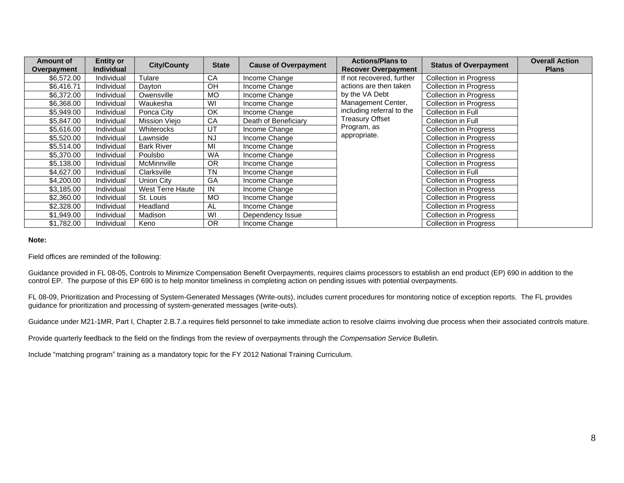| Amount of<br>Overpayment | <b>Entity or</b><br><b>Individual</b> | <b>City/County</b>      | <b>State</b> | <b>Cause of Overpayment</b> | <b>Actions/Plans to</b><br><b>Recover Overpayment</b> | <b>Status of Overpayment</b>  | <b>Overall Action</b><br><b>Plans</b> |
|--------------------------|---------------------------------------|-------------------------|--------------|-----------------------------|-------------------------------------------------------|-------------------------------|---------------------------------------|
| \$6,572.00               | Individual                            | Tulare                  | CA           | Income Change               | If not recovered, further                             | <b>Collection in Progress</b> |                                       |
| \$6,416.71               | Individual                            | Dayton                  | OH           | Income Change               | actions are then taken                                | <b>Collection in Progress</b> |                                       |
| \$6,372.00               | Individual                            | Owensville              | <b>MO</b>    | Income Change               | by the VA Debt                                        | <b>Collection in Progress</b> |                                       |
| \$6,368.00               | Individual                            | Waukesha                | WI           | Income Change               | Management Center,                                    | <b>Collection in Progress</b> |                                       |
| \$5,949.00               | Individual                            | Ponca City              | OK           | Income Change               | including referral to the                             | Collection in Full            |                                       |
| \$5,847.00               | Individual                            | Mission Viejo           | CA           | Death of Beneficiary        | <b>Treasury Offset</b>                                | Collection in Full            |                                       |
| \$5,616.00               | Individual                            | Whiterocks              | UT           | Income Change               | Program, as                                           | <b>Collection in Progress</b> |                                       |
| \$5,520.00               | Individual                            | Lawnside                | <b>NJ</b>    | Income Change               | appropriate.                                          | <b>Collection in Progress</b> |                                       |
| \$5,514.00               | Individual                            | <b>Bark River</b>       | MI           | Income Change               |                                                       | <b>Collection in Progress</b> |                                       |
| \$5,370.00               | Individual                            | Poulsbo                 | <b>WA</b>    | Income Change               |                                                       | <b>Collection in Progress</b> |                                       |
| \$5,138.00               | Individual                            | McMinnville             | <b>OR</b>    | Income Change               |                                                       | <b>Collection in Progress</b> |                                       |
| \$4,627.00               | Individual                            | Clarksville             | <b>TN</b>    | Income Change               |                                                       | Collection in Full            |                                       |
| \$4,200.00               | Individual                            | Union City              | GA           | Income Change               |                                                       | Collection in Progress        |                                       |
| \$3,185.00               | Individual                            | <b>West Terre Haute</b> | IN           | Income Change               |                                                       | <b>Collection in Progress</b> |                                       |
| \$2,360.00               | Individual                            | St. Louis               | <b>MO</b>    | Income Change               |                                                       | <b>Collection in Progress</b> |                                       |
| \$2,328.00               | Individual                            | Headland                | AL           | Income Change               |                                                       | <b>Collection in Progress</b> |                                       |
| \$1,949.00               | Individual                            | Madison                 | WI           | Dependency Issue            |                                                       | <b>Collection in Progress</b> |                                       |
| \$1,782.00               | Individual                            | Keno                    | <b>OR</b>    | Income Change               |                                                       | <b>Collection in Progress</b> |                                       |

#### **Note:**

#### Field offices are reminded of the following:

Guidance provided in FL 08-05, Controls to Minimize Compensation Benefit Overpayments, requires claims processors to establish an end product (EP) 690 in addition to the control EP. The purpose of this EP 690 is to help monitor timeliness in completing action on pending issues with potential overpayments.

FL 08-09, Prioritization and Processing of System-Generated Messages (Write-outs), includes current procedures for monitoring notice of exception reports. The FL provides guidance for prioritization and processing of system-generated messages (write-outs).

Guidance under M21-1MR, Part I, Chapter 2.B.7.a requires field personnel to take immediate action to resolve claims involving due process when their associated controls mature.

Provide quarterly feedback to the field on the findings from the review of overpayments through the *Compensation Service* Bulletin.

Include "matching program" training as a mandatory topic for the FY 2012 National Training Curriculum.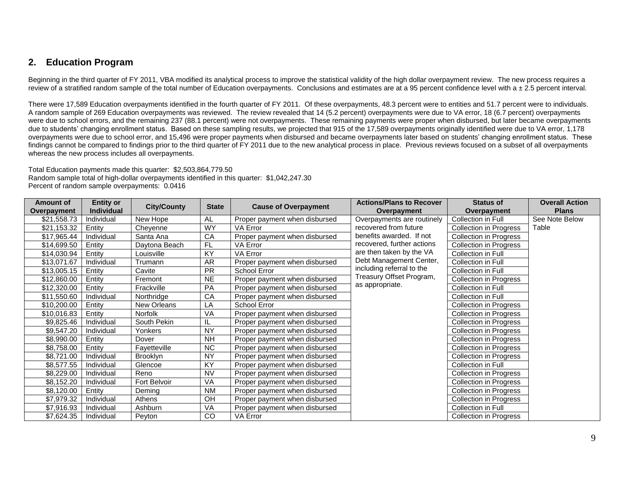### **2. Education Program**

Beginning in the third quarter of FY 2011, VBA modified its analytical process to improve the statistical validity of the high dollar overpayment review. The new process requires a review of a stratified random sample of the total number of Education overpayments. Conclusions and estimates are at a 95 percent confidence level with a  $\pm$  2.5 percent interval.

There were 17,589 Education overpayments identified in the fourth quarter of FY 2011. Of these overpayments, 48.3 percent were to entities and 51.7 percent were to individuals. A random sample of 269 Education overpayments was reviewed. The review revealed that 14 (5.2 percent) overpayments were due to VA error, 18 (6.7 percent) overpayments were due to school errors, and the remaining 237 (88.1 percent) were not overpayments. These remaining payments were proper when disbursed, but later became overpayments due to students' changing enrollment status. Based on these sampling results, we projected that 915 of the 17,589 overpayments originally identified were due to VA error, 1,178 overpayments were due to school error, and 15,496 were proper payments when disbursed and became overpayments later based on students' changing enrollment status. These findings cannot be compared to findings prior to the third quarter of FY 2011 due to the new analytical process in place. Previous reviews focused on a subset of all overpayments whereas the new process includes all overpayments.

Total Education payments made this quarter: \$2,503,864,779.50 Random sample total of high-dollar overpayments identified in this quarter: \$1,042,247.30 Percent of random sample overpayments: 0.0416

| <b>Amount of</b><br>Overpayment | <b>Entity or</b><br><b>Individual</b> | <b>City/County</b> | <b>State</b> | <b>Cause of Overpayment</b>   | <b>Actions/Plans to Recover</b><br>Overpayment | <b>Status of</b><br>Overpayment | <b>Overall Action</b><br><b>Plans</b> |
|---------------------------------|---------------------------------------|--------------------|--------------|-------------------------------|------------------------------------------------|---------------------------------|---------------------------------------|
| \$21,558.73                     | Individual                            | New Hope           | AL           | Proper payment when disbursed | Overpayments are routinely                     | Collection in Full              | See Note Below                        |
| \$21,153.32                     | Entity                                | Cheyenne           | WY           | VA Error                      | recovered from future                          | Collection in Progress          | Table                                 |
| \$17,965.44                     | Individual                            | Santa Ana          | CA           | Proper payment when disbursed | benefits awarded. If not                       | <b>Collection in Progress</b>   |                                       |
| \$14,699.50                     | Entity                                | Daytona Beach      | <b>FL</b>    | VA Error                      | recovered, further actions                     | <b>Collection in Progress</b>   |                                       |
| \$14,030.94                     | Entity                                | _ouisville         | KY           | <b>VA Error</b>               | are then taken by the VA                       | <b>Collection in Full</b>       |                                       |
| \$13,071.67                     | Individual                            | Trumann            | <b>AR</b>    | Proper payment when disbursed | Debt Management Center,                        | Collection in Full              |                                       |
| \$13,005.15                     | Entity                                | Cavite             | <b>PR</b>    | School Error                  | including referral to the                      | Collection in Full              |                                       |
| \$12,860.00                     | Entity                                | Fremont            | <b>NE</b>    | Proper payment when disbursed | Treasury Offset Program,                       | <b>Collection in Progress</b>   |                                       |
| \$12,320.00                     | Entity                                | Frackville         | PA           | Proper payment when disbursed | as appropriate.                                | <b>Collection in Full</b>       |                                       |
| \$11,550.60                     | Individual                            | Northridge         | CA           | Proper payment when disbursed |                                                | Collection in Full              |                                       |
| \$10,200.00                     | Entity                                | New Orleans        | LA           | School Error                  |                                                | <b>Collection in Progress</b>   |                                       |
| \$10,016.83                     | Entity                                | Norfolk            | VA           | Proper payment when disbursed |                                                | Collection in Progress          |                                       |
| \$9,825.46                      | Individual                            | South Pekin        | IL           | Proper payment when disbursed |                                                | <b>Collection in Progress</b>   |                                       |
| \$9,547.20                      | Individual                            | Yonkers            | <b>NY</b>    | Proper payment when disbursed |                                                | <b>Collection in Progress</b>   |                                       |
| \$8,990.00                      | Entity                                | Dover              | <b>NH</b>    | Proper payment when disbursed |                                                | <b>Collection in Progress</b>   |                                       |
| \$8,758.00                      | Entity                                | Fayetteville       | <b>NC</b>    | Proper payment when disbursed |                                                | <b>Collection in Progress</b>   |                                       |
| \$8,721.00                      | Individual                            | <b>Brooklyn</b>    | <b>NY</b>    | Proper payment when disbursed |                                                | <b>Collection in Progress</b>   |                                       |
| \$8,577.55                      | Individual                            | Glencoe            | KY           | Proper payment when disbursed |                                                | Collection in Full              |                                       |
| \$8,229.00                      | Individual                            | Reno               | <b>NV</b>    | Proper payment when disbursed |                                                | <b>Collection in Progress</b>   |                                       |
| \$8,152.20                      | Individual                            | Fort Belvoir       | VA           | Proper payment when disbursed |                                                | <b>Collection in Progress</b>   |                                       |
| \$8,120.00                      | Entity                                | Deming             | <b>NM</b>    | Proper payment when disbursed |                                                | <b>Collection in Progress</b>   |                                       |
| \$7,979.32                      | Individual                            | Athens             | OH           | Proper payment when disbursed |                                                | <b>Collection in Progress</b>   |                                       |
| \$7,916.93                      | Individual                            | Ashburn            | VA           | Proper payment when disbursed |                                                | Collection in Full              |                                       |
| \$7,624.35                      | Individual                            | Peyton             | <b>CO</b>    | VA Error                      |                                                | <b>Collection in Progress</b>   |                                       |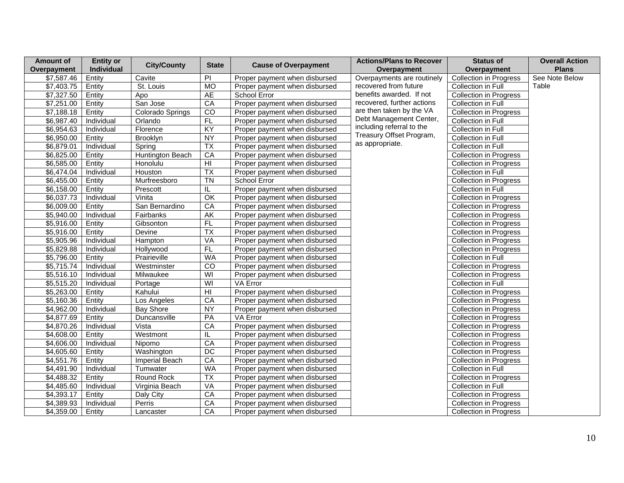| <b>Amount of</b> | <b>Entity or</b> | <b>City/County</b> | <b>State</b>             | <b>Cause of Overpayment</b>   | <b>Actions/Plans to Recover</b> | <b>Status of</b>              | <b>Overall Action</b> |
|------------------|------------------|--------------------|--------------------------|-------------------------------|---------------------------------|-------------------------------|-----------------------|
| Overpayment      | Individual       |                    |                          |                               | Overpayment                     | Overpayment                   | <b>Plans</b>          |
| \$7,587.46       | Entity           | Cavite             | PI                       | Proper payment when disbursed | Overpayments are routinely      | <b>Collection in Progress</b> | See Note Below        |
| \$7,403.75       | Entity           | St. Louis          | MO                       | Proper payment when disbursed | recovered from future           | <b>Collection in Full</b>     | Table                 |
| \$7,327.50       | Entity           | Apo                | <b>AE</b>                | School Error                  | benefits awarded. If not        | <b>Collection in Progress</b> |                       |
| \$7,251.00       | Entity           | San Jose           | CA                       | Proper payment when disbursed | recovered, further actions      | Collection in Full            |                       |
| \$7,188.18       | Entity           | Colorado Springs   | $\overline{c}$           | Proper payment when disbursed | are then taken by the VA        | <b>Collection in Progress</b> |                       |
| \$6,987.40       | Individual       | Orlando            | FL                       | Proper payment when disbursed | Debt Management Center,         | Collection in Full            |                       |
| \$6,954.63       | Individual       | Florence           | $\overline{KY}$          | Proper payment when disbursed | including referral to the       | Collection in Full            |                       |
| \$6,950.00       | Entity           | Brooklyn           | NY                       | Proper payment when disbursed | Treasury Offset Program,        | Collection in Full            |                       |
| \$6,879.01       | Individual       | Spring             | TX                       | Proper payment when disbursed | as appropriate.                 | Collection in Full            |                       |
| \$6,825.00       | Entity           | Huntington Beach   | CA                       | Proper payment when disbursed |                                 | <b>Collection in Progress</b> |                       |
| \$6,585.00       | Entity           | Honolulu           | $\overline{H}$           | Proper payment when disbursed |                                 | <b>Collection in Progress</b> |                       |
| \$6,474.04       | Individual       | Houston            | $\overline{TX}$          | Proper payment when disbursed |                                 | Collection in Full            |                       |
| \$6,455.00       | Entity           | Murfreesboro       | $\overline{T}N$          | School Error                  |                                 | <b>Collection in Progress</b> |                       |
| \$6,158.00       | Entity           | Prescott           | IL                       | Proper payment when disbursed |                                 | Collection in Full            |                       |
| \$6,037.73       | Individual       | Vinita             | OK                       | Proper payment when disbursed |                                 | <b>Collection in Progress</b> |                       |
| \$6,009.00       | Entity           | San Bernardino     | CA                       | Proper payment when disbursed |                                 | <b>Collection in Progress</b> |                       |
| \$5,940.00       | Individual       | Fairbanks          | $\overline{\mathsf{AK}}$ | Proper payment when disbursed |                                 | <b>Collection in Progress</b> |                       |
| \$5,916.00       | Entity           | Gibsonton          | FL                       | Proper payment when disbursed |                                 | <b>Collection in Progress</b> |                       |
| \$5,916.00       | Entity           | Devine             | $\overline{TX}$          | Proper payment when disbursed |                                 | <b>Collection in Progress</b> |                       |
| \$5,905.96       | Individual       | Hampton            | VA                       | Proper payment when disbursed |                                 | <b>Collection in Progress</b> |                       |
| \$5,829.88       | Individual       | Hollywood          | FL                       | Proper payment when disbursed |                                 | <b>Collection in Progress</b> |                       |
| \$5,796.00       | Entity           | Prairieville       | <b>WA</b>                | Proper payment when disbursed |                                 | Collection in Full            |                       |
| \$5,715.74       | Individual       | Westminster        | $\overline{c}$           | Proper payment when disbursed |                                 | <b>Collection in Progress</b> |                       |
| \$5,516.10       | Individual       | Milwaukee          | $\overline{\mathsf{W}}$  | Proper payment when disbursed |                                 | <b>Collection in Progress</b> |                       |
| \$5,515.20       | Individual       | Portage            | $\overline{\mathsf{W}}$  | VA Error                      |                                 | Collection in Full            |                       |
| \$5,263.00       | Entity           | Kahului            | $\overline{H}$           | Proper payment when disbursed |                                 | <b>Collection in Progress</b> |                       |
| \$5,160.36       | Entity           | Los Angeles        | CA                       | Proper payment when disbursed |                                 | <b>Collection in Progress</b> |                       |
| \$4,962.00       | Individual       | <b>Bay Shore</b>   | <b>NY</b>                | Proper payment when disbursed |                                 | Collection in Progress        |                       |
| \$4,877.69       | Entity           | Duncansville       | PA                       | VA Error                      |                                 | <b>Collection in Progress</b> |                       |
| \$4,870.26       | Individual       | Vista              | CA                       | Proper payment when disbursed |                                 | <b>Collection in Progress</b> |                       |
| \$4,608.00       | Entity           | Westmont           | IL                       | Proper payment when disbursed |                                 | <b>Collection in Progress</b> |                       |
| \$4,606.00       | Individual       | Nipomo             | CA                       | Proper payment when disbursed |                                 | <b>Collection in Progress</b> |                       |
| \$4,605.60       | Entity           | Washington         | DC                       | Proper payment when disbursed |                                 | <b>Collection in Progress</b> |                       |
| \$4,551.76       | Entity           | Imperial Beach     | CA                       | Proper payment when disbursed |                                 | <b>Collection in Progress</b> |                       |
| \$4,491.90       | Individual       | Tumwater           | <b>WA</b>                | Proper payment when disbursed |                                 | Collection in Full            |                       |
| \$4,488.32       | Entity           | Round Rock         | $\overline{TX}$          | Proper payment when disbursed |                                 | Collection in Progress        |                       |
| \$4,485.60       | Individual       | Virginia Beach     | VA                       | Proper payment when disbursed |                                 | Collection in Full            |                       |
| \$4,393.17       | Entity           | Daly City          | CA                       | Proper payment when disbursed |                                 | <b>Collection in Progress</b> |                       |
| \$4,389.93       | Individual       | Perris             | CA                       | Proper payment when disbursed |                                 | <b>Collection in Progress</b> |                       |
| \$4,359.00       | Entity           | Lancaster          | CA                       | Proper payment when disbursed |                                 | <b>Collection in Progress</b> |                       |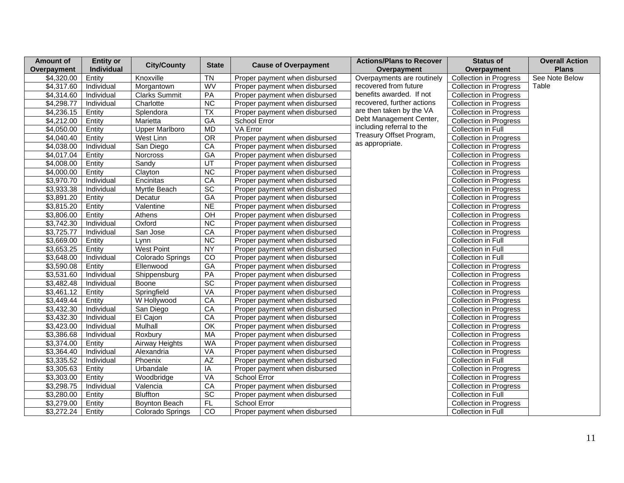| Amount of   | <b>Entity or</b> | <b>City/County</b>    | <b>State</b>    |                               | <b>Actions/Plans to Recover</b> | <b>Status of</b>              | <b>Overall Action</b> |
|-------------|------------------|-----------------------|-----------------|-------------------------------|---------------------------------|-------------------------------|-----------------------|
| Overpayment | Individual       |                       |                 | <b>Cause of Overpayment</b>   | Overpayment                     | Overpayment                   | <b>Plans</b>          |
| \$4,320.00  | Entity           | Knoxville             | <b>TN</b>       | Proper payment when disbursed | Overpayments are routinely      | <b>Collection in Progress</b> | See Note Below        |
| \$4,317.60  | Individual       | Morgantown            | WV              | Proper payment when disbursed | recovered from future           | <b>Collection in Progress</b> | Table                 |
| \$4,314.60  | Individual       | <b>Clarks Summit</b>  | PA              | Proper payment when disbursed | benefits awarded. If not        | <b>Collection in Progress</b> |                       |
| \$4,298.77  | Individual       | Charlotte             | NC              | Proper payment when disbursed | recovered, further actions      | <b>Collection in Progress</b> |                       |
| \$4,236.15  | Entity           | Splendora             | $\overline{TX}$ | Proper payment when disbursed | are then taken by the VA        | <b>Collection in Progress</b> |                       |
| \$4,212.00  | Entity           | Marietta              | GA              | School Error                  | Debt Management Center,         | Collection in Progress        |                       |
| \$4,050.00  | Entity           | <b>Upper Marlboro</b> | <b>MD</b>       | VA Error                      | including referral to the       | Collection in Full            |                       |
| \$4,040.40  | Entity           | West Linn             | OR              | Proper payment when disbursed | Treasury Offset Program,        | <b>Collection in Progress</b> |                       |
| \$4,038.00  | Individual       | San Diego             | CA              | Proper payment when disbursed | as appropriate.                 | <b>Collection in Progress</b> |                       |
| \$4,017.04  | Entity           | Norcross              | $G$ A           | Proper payment when disbursed |                                 | <b>Collection in Progress</b> |                       |
| \$4,008.00  | Entity           | Sandv                 | UT              | Proper payment when disbursed |                                 | <b>Collection in Progress</b> |                       |
| \$4,000.00  | Entity           | Clayton               | $\overline{NC}$ | Proper payment when disbursed |                                 | <b>Collection in Progress</b> |                       |
| \$3,970.70  | Individual       | Encinitas             | CA              | Proper payment when disbursed |                                 | <b>Collection in Progress</b> |                       |
| \$3,933.38  | Individual       | Myrtle Beach          | $\overline{SC}$ | Proper payment when disbursed |                                 | <b>Collection in Progress</b> |                       |
| \$3,891.20  | Entity           | Decatur               | $G$ A           | Proper payment when disbursed |                                 | <b>Collection in Progress</b> |                       |
| \$3,815.20  | Entity           | Valentine             | <b>NE</b>       | Proper payment when disbursed |                                 | <b>Collection in Progress</b> |                       |
| \$3,806.00  | Entity           | Athens                | OH              | Proper payment when disbursed |                                 | Collection in Progress        |                       |
| \$3,742.30  | Individual       | Oxford                | <b>NC</b>       | Proper payment when disbursed |                                 | <b>Collection in Progress</b> |                       |
| \$3,725.77  | Individual       | San Jose              | CA              | Proper payment when disbursed |                                 | <b>Collection in Progress</b> |                       |
| \$3,669.00  | Entity           | Lynn                  | <b>NC</b>       | Proper payment when disbursed |                                 | Collection in Full            |                       |
| \$3,653.25  | Entity           | <b>West Point</b>     | NY              | Proper payment when disbursed |                                 | Collection in Full            |                       |
| \$3,648.00  | Individual       | Colorado Springs      | CO              | Proper payment when disbursed |                                 | Collection in Full            |                       |
| \$3,590.08  | Entity           | Ellenwood             | $G$ A           | Proper payment when disbursed |                                 | <b>Collection in Progress</b> |                       |
| \$3,531.60  | Individual       | Shippensburg          | PA              | Proper payment when disbursed |                                 | <b>Collection in Progress</b> |                       |
| \$3,482.48  | Individual       | Boone                 | SC              | Proper payment when disbursed |                                 | <b>Collection in Progress</b> |                       |
| \$3,461.12  | Entity           | Springfield           | VA              | Proper payment when disbursed |                                 | Collection in Progress        |                       |
| \$3,449.44  | Entity           | W Hollywood           | CA              | Proper payment when disbursed |                                 | <b>Collection in Progress</b> |                       |
| \$3,432.30  | Individual       | San Diego             | CA              | Proper payment when disbursed |                                 | <b>Collection in Progress</b> |                       |
| \$3,432.30  | Individual       | El Cajon              | CA              | Proper payment when disbursed |                                 | <b>Collection in Progress</b> |                       |
| \$3,423.00  | Individual       | Mulhall               | OK              | Proper payment when disbursed |                                 | <b>Collection in Progress</b> |                       |
| \$3,386.68  | Individual       | Roxbury               | <b>MA</b>       | Proper payment when disbursed |                                 | <b>Collection in Progress</b> |                       |
| \$3,374.00  | Entity           | Airway Heights        | <b>WA</b>       | Proper payment when disbursed |                                 | <b>Collection in Progress</b> |                       |
| \$3,364.40  | Individual       | Alexandria            | VA              | Proper payment when disbursed |                                 | <b>Collection in Progress</b> |                       |
| \$3,335.52  | Individual       | Phoenix               | $\overline{AZ}$ | Proper payment when disbursed |                                 | Collection in Full            |                       |
| \$3,305.63  | Entity           | Urbandale             | IA              | Proper payment when disbursed |                                 | <b>Collection in Progress</b> |                       |
| \$3,303.00  | Entity           | Woodbridge            | VA              | School Error                  |                                 | <b>Collection in Progress</b> |                       |
| \$3,298.75  | Individual       | Valencia              | CA              | Proper payment when disbursed |                                 | <b>Collection in Progress</b> |                       |
| \$3,280.00  | Entity           | <b>Bluffton</b>       | $\overline{SC}$ | Proper payment when disbursed |                                 | Collection in Full            |                       |
| \$3,279.00  | Entity           | Boynton Beach         | FL              | <b>School Error</b>           |                                 | <b>Collection in Progress</b> |                       |
| \$3,272.24  | Entity           | Colorado Springs      | $\overline{c}$  | Proper payment when disbursed |                                 | <b>Collection in Full</b>     |                       |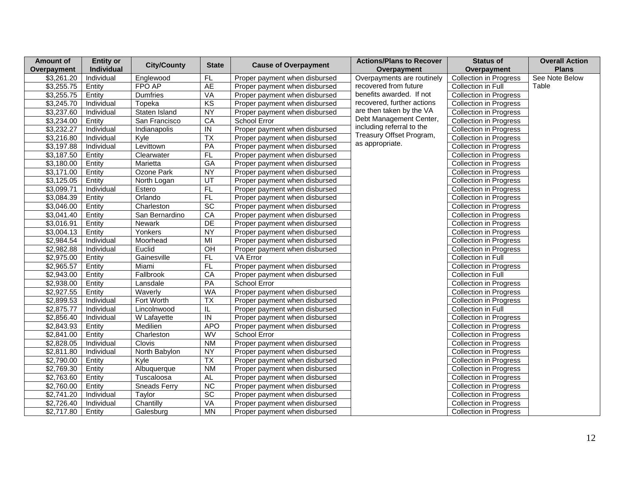| <b>Amount of</b> | <b>Entity or</b>  | <b>City/County</b>  | <b>State</b>    | <b>Cause of Overpayment</b>   | <b>Actions/Plans to Recover</b> | <b>Status of</b>              | <b>Overall Action</b> |
|------------------|-------------------|---------------------|-----------------|-------------------------------|---------------------------------|-------------------------------|-----------------------|
| Overpayment      | Individual        |                     |                 |                               | Overpayment                     | Overpayment                   | <b>Plans</b>          |
| \$3,261.20       | Individual        | Englewood           | FL              | Proper payment when disbursed | Overpayments are routinely      | <b>Collection in Progress</b> | See Note Below        |
| \$3,255.75       | Entity            | FPO AP              | <b>AE</b>       | Proper payment when disbursed | recovered from future           | Collection in Full            | Table                 |
| \$3,255.75       | Entity            | Dumfries            | VA              | Proper payment when disbursed | benefits awarded. If not        | <b>Collection in Progress</b> |                       |
| \$3,245.70       | Individual        | Topeka              | KS              | Proper payment when disbursed | recovered, further actions      | <b>Collection in Progress</b> |                       |
| \$3,237.60       | Individual        | Staten Island       | NY              | Proper payment when disbursed | are then taken by the VA        | <b>Collection in Progress</b> |                       |
| \$3,234.00       | Entity            | San Francisco       | CA              | School Error                  | Debt Management Center,         | <b>Collection in Progress</b> |                       |
| \$3,232.27       | Individual        | Indianapolis        | ${\sf IN}$      | Proper payment when disbursed | including referral to the       | <b>Collection in Progress</b> |                       |
| \$3,216.80       | Individual        | Kyle                | $\overline{TX}$ | Proper payment when disbursed | Treasury Offset Program,        | Collection in Progress        |                       |
| \$3,197.88       | Individual        | Levittown           | PA              | Proper payment when disbursed | as appropriate.                 | Collection in Progress        |                       |
| \$3,187.50       | Entity            | Clearwater          | FL              | Proper payment when disbursed |                                 | <b>Collection in Progress</b> |                       |
| \$3,180.00       | Entity            | Marietta            | GA              | Proper payment when disbursed |                                 | <b>Collection in Progress</b> |                       |
| \$3,171.00       | Entity            | Ozone Park          | <b>NY</b>       | Proper payment when disbursed |                                 | Collection in Progress        |                       |
| \$3,125.05       | Entity            | North Logan         | UT              | Proper payment when disbursed |                                 | <b>Collection in Progress</b> |                       |
| \$3,099.71       | <b>Individual</b> | Estero              | F               | Proper payment when disbursed |                                 | <b>Collection in Progress</b> |                       |
| \$3,084.39       | Entity            | Orlando             | FL              | Proper payment when disbursed |                                 | <b>Collection in Progress</b> |                       |
| \$3,046.00       | Entity            | Charleston          | $\overline{SC}$ | Proper payment when disbursed |                                 | <b>Collection in Progress</b> |                       |
| \$3,041.40       | Entity            | San Bernardino      | CA              | Proper payment when disbursed |                                 | <b>Collection in Progress</b> |                       |
| \$3,016.91       | Entity            | Newark              | DE              | Proper payment when disbursed |                                 | <b>Collection in Progress</b> |                       |
| \$3,004.13       | Entity            | Yonkers             | NY              | Proper payment when disbursed |                                 | <b>Collection in Progress</b> |                       |
| \$2,984.54       | Individual        | Moorhead            | MI              | Proper payment when disbursed |                                 | <b>Collection in Progress</b> |                       |
| \$2,982.88       | Individual        | Euclid              | OH              | Proper payment when disbursed |                                 | <b>Collection in Progress</b> |                       |
| \$2,975.00       | Entity            | Gainesville         | FL              | VA Error                      |                                 | Collection in Full            |                       |
| \$2,965.57       | Entity            | Miami               | FL              | Proper payment when disbursed |                                 | <b>Collection in Progress</b> |                       |
| \$2,943.00       | Entity            | Fallbrook           | CA              | Proper payment when disbursed |                                 | Collection in Full            |                       |
| \$2,938.00       | Entity            | Lansdale            | PA              | School Error                  |                                 | <b>Collection in Progress</b> |                       |
| \$2,927.55       | Entity            | Waverly             | <b>WA</b>       | Proper payment when disbursed |                                 | <b>Collection in Progress</b> |                       |
| \$2,899.53       | Individual        | Fort Worth          | $\overline{TX}$ | Proper payment when disbursed |                                 | <b>Collection in Progress</b> |                       |
| \$2,875.77       | Individual        | Lincolnwood         | IL.             | Proper payment when disbursed |                                 | Collection in Full            |                       |
| \$2,856.40       | Individual        | W Lafayette         | IN              | Proper payment when disbursed |                                 | <b>Collection in Progress</b> |                       |
| \$2,843.93       | Entity            | Medilien            | <b>APO</b>      | Proper payment when disbursed |                                 | <b>Collection in Progress</b> |                       |
| \$2,841.00       | Entity            | Charleston          | WV              | School Error                  |                                 | <b>Collection in Progress</b> |                       |
| \$2,828.05       | Individual        | Clovis              | <b>NM</b>       | Proper payment when disbursed |                                 | <b>Collection in Progress</b> |                       |
| \$2,811.80       | Individual        | North Babylon       | <b>NY</b>       | Proper payment when disbursed |                                 | <b>Collection in Progress</b> |                       |
| \$2,790.00       | Entity            | Kyle                | $\overline{TX}$ | Proper payment when disbursed |                                 | <b>Collection in Progress</b> |                       |
| \$2,769.30       | Entity            | Albuquerque         | <b>NM</b>       | Proper payment when disbursed |                                 | <b>Collection in Progress</b> |                       |
| \$2,763.60       | Entity            | Tuscaloosa          | <b>AL</b>       | Proper payment when disbursed |                                 | <b>Collection in Progress</b> |                       |
| \$2,760.00       | Entity            | <b>Sneads Ferry</b> | $\overline{NC}$ | Proper payment when disbursed |                                 | <b>Collection in Progress</b> |                       |
| \$2,741.20       | Individual        | Taylor              | $\overline{SC}$ | Proper payment when disbursed |                                 | <b>Collection in Progress</b> |                       |
| \$2,726.40       | Individual        | Chantilly           | VA              | Proper payment when disbursed |                                 | <b>Collection in Progress</b> |                       |
| \$2,717.80       | Entity            | Galesburg           | <b>MN</b>       | Proper payment when disbursed |                                 | <b>Collection in Progress</b> |                       |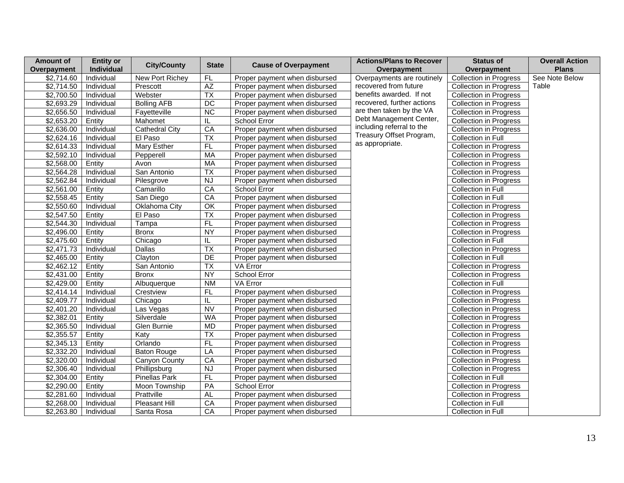| <b>Amount of</b> | <b>Entity or</b>  | <b>City/County</b>    | <b>State</b>    |                               | <b>Actions/Plans to Recover</b> | <b>Status of</b>              | <b>Overall Action</b> |
|------------------|-------------------|-----------------------|-----------------|-------------------------------|---------------------------------|-------------------------------|-----------------------|
| Overpayment      | Individual        |                       |                 | <b>Cause of Overpayment</b>   | Overpayment                     | Overpayment                   | <b>Plans</b>          |
| \$2,714.60       | Individual        | New Port Richey       | <b>FL</b>       | Proper payment when disbursed | Overpayments are routinely      | <b>Collection in Progress</b> | See Note Below        |
| \$2,714.50       | Individual        | Prescott              | AZ              | Proper payment when disbursed | recovered from future           | <b>Collection in Progress</b> | Table                 |
| \$2,700.50       | Individual        | Webster               | $\overline{TX}$ | Proper payment when disbursed | benefits awarded. If not        | <b>Collection in Progress</b> |                       |
| \$2,693.29       | Individual        | <b>Bolling AFB</b>    | $\overline{DC}$ | Proper payment when disbursed | recovered, further actions      | <b>Collection in Progress</b> |                       |
| \$2,656.50       | Individual        | Fayetteville          | $\overline{NC}$ | Proper payment when disbursed | are then taken by the VA        | <b>Collection in Progress</b> |                       |
| \$2,653.20       | Entity            | Mahomet               | IL.             | School Error                  | Debt Management Center,         | Collection in Progress        |                       |
| \$2,636.00       | Individual        | <b>Cathedral City</b> | CA              | Proper payment when disbursed | including referral to the       | <b>Collection in Progress</b> |                       |
| \$2,624.16       | Individual        | El Paso               | $\overline{TX}$ | Proper payment when disbursed | Treasury Offset Program,        | Collection in Full            |                       |
| \$2,614.33       | Individual        | Mary Esther           | FL              | Proper payment when disbursed | as appropriate.                 | Collection in Progress        |                       |
| \$2,592.10       | Individual        | Pepperell             | <b>MA</b>       | Proper payment when disbursed |                                 | <b>Collection in Progress</b> |                       |
| \$2,568.00       | Entity            | Avon                  | MA              | Proper payment when disbursed |                                 | <b>Collection in Progress</b> |                       |
| \$2,564.28       | Individual        | San Antonio           | $\overline{TX}$ | Proper payment when disbursed |                                 | <b>Collection in Progress</b> |                       |
| \$2,562.84       | Individual        | Pilesgrove            | NJ              | Proper payment when disbursed |                                 | <b>Collection in Progress</b> |                       |
| \$2,561.00       | Entity            | Camarillo             | CA              | School Error                  |                                 | Collection in Full            |                       |
| \$2,558.45       | Entity            | San Diego             | CA              | Proper payment when disbursed |                                 | <b>Collection in Full</b>     |                       |
| \$2,550.60       | Individual        | Oklahoma City         | OK              | Proper payment when disbursed |                                 | <b>Collection in Progress</b> |                       |
| \$2,547.50       | Entity            | El Paso               | $\overline{TX}$ | Proper payment when disbursed |                                 | Collection in Progress        |                       |
| \$2,544.30       | Individual        | Tampa                 | F               | Proper payment when disbursed |                                 | <b>Collection in Progress</b> |                       |
| \$2,496.00       | Entity            | <b>Bronx</b>          | <b>NY</b>       | Proper payment when disbursed |                                 | <b>Collection in Progress</b> |                       |
| \$2,475.60       | Entity            | Chicago               | IL.             | Proper payment when disbursed |                                 | Collection in Full            |                       |
| \$2,471.73       | <b>Individual</b> | <b>Dallas</b>         | $\overline{TX}$ | Proper payment when disbursed |                                 | <b>Collection in Progress</b> |                       |
| \$2,465.00       | Entity            | Clayton               | DE              | Proper payment when disbursed |                                 | Collection in Full            |                       |
| \$2,462.12       | Entity            | San Antonio           | $\overline{TX}$ | VA Error                      |                                 | <b>Collection in Progress</b> |                       |
| \$2,431.00       | Entity            | <b>Bronx</b>          | <b>NY</b>       | School Error                  |                                 | <b>Collection in Progress</b> |                       |
| \$2,429.00       | Entity            | Albuquerque           | <b>NM</b>       | VA Error                      |                                 | Collection in Full            |                       |
| \$2,414.14       | Individual        | Crestview             | FL              | Proper payment when disbursed |                                 | <b>Collection in Progress</b> |                       |
| \$2,409.77       | Individual        | Chicago               | IL              | Proper payment when disbursed |                                 | <b>Collection in Progress</b> |                       |
| \$2,401.20       | Individual        | Las Vegas             | <b>NV</b>       | Proper payment when disbursed |                                 | <b>Collection in Progress</b> |                       |
| \$2,382.01       | Entity            | Silverdale            | <b>WA</b>       | Proper payment when disbursed |                                 | <b>Collection in Progress</b> |                       |
| \$2,365.50       | Individual        | Glen Burnie           | <b>MD</b>       | Proper payment when disbursed |                                 | <b>Collection in Progress</b> |                       |
| \$2,355.57       | Entity            | Katy                  | $\overline{TX}$ | Proper payment when disbursed |                                 | <b>Collection in Progress</b> |                       |
| \$2,345.13       | Entity            | Orlando               | F <sub>L</sub>  | Proper payment when disbursed |                                 | <b>Collection in Progress</b> |                       |
| \$2,332.20       | Individual        | <b>Baton Rouge</b>    | LA              | Proper payment when disbursed |                                 | <b>Collection in Progress</b> |                       |
| \$2,320.00       | Individual        | Canyon County         | CA              | Proper payment when disbursed |                                 | <b>Collection in Progress</b> |                       |
| \$2,306.40       | Individual        | Phillipsburg          | <b>NJ</b>       | Proper payment when disbursed |                                 | <b>Collection in Progress</b> |                       |
| \$2,304.00       | Entity            | Pinellas Park         | FL              | Proper payment when disbursed |                                 | Collection in Full            |                       |
| \$2,290.00       | Entity            | Moon Township         | PA              | School Error                  |                                 | <b>Collection in Progress</b> |                       |
| \$2,281.60       | Individual        | Prattville            | AL              | Proper payment when disbursed |                                 | <b>Collection in Progress</b> |                       |
| \$2,268.00       | Individual        | Pleasant Hill         | CA              | Proper payment when disbursed |                                 | Collection in Full            |                       |
| \$2,263.80       | Individual        | Santa Rosa            | CA              | Proper payment when disbursed |                                 | Collection in Full            |                       |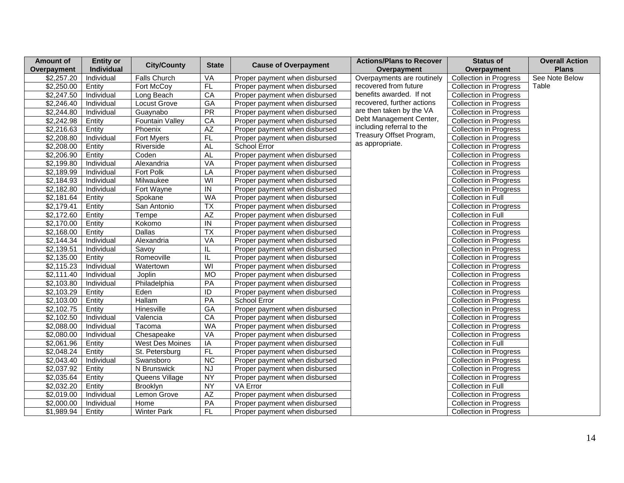| <b>Amount of</b> | <b>Entity or</b> | <b>City/County</b>     | <b>State</b>            |                               | <b>Actions/Plans to Recover</b> | <b>Status of</b>              | <b>Overall Action</b> |
|------------------|------------------|------------------------|-------------------------|-------------------------------|---------------------------------|-------------------------------|-----------------------|
| Overpayment      | Individual       |                        |                         | <b>Cause of Overpayment</b>   | Overpayment                     | Overpayment                   | <b>Plans</b>          |
| \$2,257.20       | Individual       | <b>Falls Church</b>    | VA                      | Proper payment when disbursed | Overpayments are routinely      | <b>Collection in Progress</b> | See Note Below        |
| \$2,250.00       | Entity           | Fort McCoy             | F                       | Proper payment when disbursed | recovered from future           | <b>Collection in Progress</b> | Table                 |
| \$2,247.50       | Individual       | Long Beach             | CA                      | Proper payment when disbursed | benefits awarded. If not        | <b>Collection in Progress</b> |                       |
| \$2,246.40       | Individual       | <b>Locust Grove</b>    | $\overline{GA}$         | Proper payment when disbursed | recovered, further actions      | <b>Collection in Progress</b> |                       |
| \$2,244.80       | Individual       | Guaynabo               | $\overline{PR}$         | Proper payment when disbursed | are then taken by the VA        | <b>Collection in Progress</b> |                       |
| \$2,242.98       | Entity           | <b>Fountain Valley</b> | CA                      | Proper payment when disbursed | Debt Management Center,         | <b>Collection in Progress</b> |                       |
| \$2,216.63       | Entity           | Phoenix                | AZ                      | Proper payment when disbursed | including referral to the       | <b>Collection in Progress</b> |                       |
| \$2,208.80       | Individual       | Fort Myers             | FL                      | Proper payment when disbursed | Treasury Offset Program,        | <b>Collection in Progress</b> |                       |
| \$2,208.00       | Entity           | Riverside              | <b>AL</b>               | School Error                  | as appropriate.                 | Collection in Progress        |                       |
| \$2,206.90       | Entity           | Coden                  | <b>AL</b>               | Proper payment when disbursed |                                 | <b>Collection in Progress</b> |                       |
| \$2,199.80       | Individual       | Alexandria             | VA                      | Proper payment when disbursed |                                 | <b>Collection in Progress</b> |                       |
| \$2,189.99       | Individual       | Fort Polk              | LA                      | Proper payment when disbursed |                                 | <b>Collection in Progress</b> |                       |
| \$2,184.93       | Individual       | Milwaukee              | WI                      | Proper payment when disbursed |                                 | <b>Collection in Progress</b> |                       |
| \$2,182.80       | Individual       | Fort Wayne             | IN                      | Proper payment when disbursed |                                 | <b>Collection in Progress</b> |                       |
| \$2,181.64       | Entity           | Spokane                | <b>WA</b>               | Proper payment when disbursed |                                 | Collection in Full            |                       |
| \$2,179.41       | Entity           | San Antonio            | <b>TX</b>               | Proper payment when disbursed |                                 | <b>Collection in Progress</b> |                       |
| \$2,172.60       | Entity           | Tempe                  | AZ                      | Proper payment when disbursed |                                 | Collection in Full            |                       |
| \$2,170.00       | Entity           | Kokomo                 | $\overline{N}$          | Proper payment when disbursed |                                 | <b>Collection in Progress</b> |                       |
| \$2,168.00       | Entity           | <b>Dallas</b>          | $\overline{TX}$         | Proper payment when disbursed |                                 | <b>Collection in Progress</b> |                       |
| \$2,144.34       | Individual       | Alexandria             | VA                      | Proper payment when disbursed |                                 | <b>Collection in Progress</b> |                       |
| \$2,139.51       | Individual       | Savoy                  | IL.                     | Proper payment when disbursed |                                 | <b>Collection in Progress</b> |                       |
| \$2,135.00       | Entity           | Romeoville             | IL.                     | Proper payment when disbursed |                                 | <b>Collection in Progress</b> |                       |
| \$2,115.23       | Individual       | Watertown              | $\overline{\mathsf{W}}$ | Proper payment when disbursed |                                 | <b>Collection in Progress</b> |                       |
| \$2,111.40       | Individual       | Joplin                 | MO                      | Proper payment when disbursed |                                 | <b>Collection in Progress</b> |                       |
| \$2,103.80       | Individual       | Philadelphia           | PA                      | Proper payment when disbursed |                                 | <b>Collection in Progress</b> |                       |
| \$2,103.29       | Entity           | Eden                   | $\overline{1}$          | Proper payment when disbursed |                                 | <b>Collection in Progress</b> |                       |
| \$2,103.00       | Entity           | <b>Hallam</b>          | PA                      | School Error                  |                                 | <b>Collection in Progress</b> |                       |
| \$2,102.75       | Entity           | Hinesville             | <b>GA</b>               | Proper payment when disbursed |                                 | <b>Collection in Progress</b> |                       |
| \$2,102.50       | Individual       | Valencia               | CA                      | Proper payment when disbursed |                                 | <b>Collection in Progress</b> |                       |
| \$2,088.00       | Individual       | Tacoma                 | <b>WA</b>               | Proper payment when disbursed |                                 | Collection in Progress        |                       |
| \$2,080.00       | Individual       | Chesapeake             | VA                      | Proper payment when disbursed |                                 | <b>Collection in Progress</b> |                       |
| \$2,061.96       | Entity           | West Des Moines        | IA                      | Proper payment when disbursed |                                 | Collection in Full            |                       |
| \$2,048.24       | Entity           | St. Petersburg         | FL                      | Proper payment when disbursed |                                 | <b>Collection in Progress</b> |                       |
| \$2,043.40       | Individual       | Swansboro              | <b>NC</b>               | Proper payment when disbursed |                                 | <b>Collection in Progress</b> |                       |
| \$2,037.92       | Entity           | N Brunswick            | $\overline{\mathsf{N}}$ | Proper payment when disbursed |                                 | <b>Collection in Progress</b> |                       |
| \$2,035.64       | Entity           | Queens Village         | $\overline{NY}$         | Proper payment when disbursed |                                 | <b>Collection in Progress</b> |                       |
| \$2,032.20       | Entity           | Brooklyn               | <b>NY</b>               | VA Error                      |                                 | Collection in Full            |                       |
| \$2,019.00       | Individual       | Lemon Grove            | $\mathsf{A}\mathsf{Z}$  | Proper payment when disbursed |                                 | <b>Collection in Progress</b> |                       |
| \$2,000.00       | Individual       | Home                   | PA                      | Proper payment when disbursed |                                 | <b>Collection in Progress</b> |                       |
| \$1,989.94       | Entity           | <b>Winter Park</b>     | <b>FL</b>               | Proper payment when disbursed |                                 | <b>Collection in Progress</b> |                       |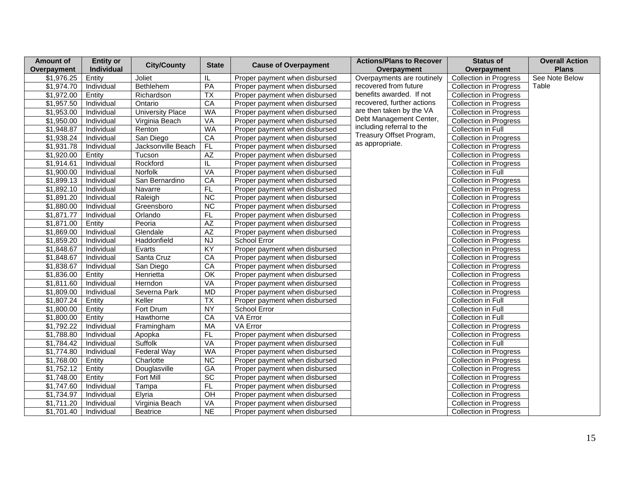| <b>Amount of</b> | <b>Entity or</b> | <b>City/County</b>      | <b>State</b>             |                               | <b>Actions/Plans to Recover</b> | <b>Status of</b>              | <b>Overall Action</b> |
|------------------|------------------|-------------------------|--------------------------|-------------------------------|---------------------------------|-------------------------------|-----------------------|
| Overpayment      | Individual       |                         |                          | <b>Cause of Overpayment</b>   | Overpayment                     | Overpayment                   | <b>Plans</b>          |
| \$1,976.25       | Entity           | Joliet                  | IL                       | Proper payment when disbursed | Overpayments are routinely      | <b>Collection in Progress</b> | See Note Below        |
| \$1,974.70       | Individual       | Bethlehem               | PA                       | Proper payment when disbursed | recovered from future           | <b>Collection in Progress</b> | Table                 |
| \$1,972.00       | Entity           | Richardson              | <b>TX</b>                | Proper payment when disbursed | benefits awarded. If not        | <b>Collection in Progress</b> |                       |
| \$1,957.50       | Individual       | Ontario                 | CA                       | Proper payment when disbursed | recovered, further actions      | <b>Collection in Progress</b> |                       |
| \$1,953.00       | Individual       | <b>University Place</b> | <b>WA</b>                | Proper payment when disbursed | are then taken by the VA        | <b>Collection in Progress</b> |                       |
| \$1,950.00       | Individual       | Virginia Beach          | <b>VA</b>                | Proper payment when disbursed | Debt Management Center,         | <b>Collection in Progress</b> |                       |
| \$1,948.87       | Individual       | Renton                  | <b>WA</b>                | Proper payment when disbursed | including referral to the       | Collection in Full            |                       |
| \$1,938.24       | Individual       | San Diego               | CA                       | Proper payment when disbursed | Treasury Offset Program,        | <b>Collection in Progress</b> |                       |
| \$1,931.78       | Individual       | Jacksonville Beach      | FL                       | Proper payment when disbursed | as appropriate.                 | <b>Collection in Progress</b> |                       |
| \$1,920.00       | Entity           | Tucson                  | AZ                       | Proper payment when disbursed |                                 | <b>Collection in Progress</b> |                       |
| \$1,914.61       | Individual       | Rockford                | IL                       | Proper payment when disbursed |                                 | <b>Collection in Progress</b> |                       |
| \$1,900.00       | Individual       | Norfolk                 | VA                       | Proper payment when disbursed |                                 | Collection in Full            |                       |
| \$1,899.13       | Individual       | San Bernardino          | CA                       | Proper payment when disbursed |                                 | <b>Collection in Progress</b> |                       |
| \$1,892.10       | Individual       | Navarre                 | FL                       | Proper payment when disbursed |                                 | <b>Collection in Progress</b> |                       |
| \$1,891.20       | Individual       | Raleigh                 | $\overline{NC}$          | Proper payment when disbursed |                                 | <b>Collection in Progress</b> |                       |
| \$1,880.00       | Individual       | Greensboro              | $\overline{NC}$          | Proper payment when disbursed |                                 | <b>Collection in Progress</b> |                       |
| \$1,871.77       | Individual       | Orlando                 | FL                       | Proper payment when disbursed |                                 | <b>Collection in Progress</b> |                       |
| \$1,871.00       | Entity           | Peoria                  | $\overline{AZ}$          | Proper payment when disbursed |                                 | <b>Collection in Progress</b> |                       |
| \$1,869.00       | Individual       | Glendale                | AZ                       | Proper payment when disbursed |                                 | <b>Collection in Progress</b> |                       |
| \$1,859.20       | Individual       | Haddonfield             | NJ                       | School Error                  |                                 | <b>Collection in Progress</b> |                       |
| \$1,848.67       | Individual       | Evarts                  | $\overline{KY}$          | Proper payment when disbursed |                                 | <b>Collection in Progress</b> |                       |
| \$1,848.67       | Individual       | Santa Cruz              | CA                       | Proper payment when disbursed |                                 | <b>Collection in Progress</b> |                       |
| \$1,838.67       | Individual       | San Diego               | CA                       | Proper payment when disbursed |                                 | <b>Collection in Progress</b> |                       |
| \$1,836.00       | Entity           | Henrietta               | $\overline{OK}$          | Proper payment when disbursed |                                 | Collection in Progress        |                       |
| \$1,811.60       | Individual       | Herndon                 | VA                       | Proper payment when disbursed |                                 | <b>Collection in Progress</b> |                       |
| \$1,809.00       | Individual       | Severna Park            | <b>MD</b>                | Proper payment when disbursed |                                 | <b>Collection in Progress</b> |                       |
| \$1,807.24       | Entity           | Keller                  | $\overline{\mathsf{TX}}$ | Proper payment when disbursed |                                 | Collection in Full            |                       |
| \$1,800.00       | Entity           | Fort Drum               | <b>NY</b>                | School Error                  |                                 | Collection in Full            |                       |
| \$1,800.00       | Entity           | Hawthorne               | CA                       | VA Error                      |                                 | Collection in Full            |                       |
| \$1,792.22       | Individual       | Framingham              | MA                       | VA Error                      |                                 | <b>Collection in Progress</b> |                       |
| \$1,788.80       | Individual       | Apopka                  | FL                       | Proper payment when disbursed |                                 | <b>Collection in Progress</b> |                       |
| \$1,784.42       | Individual       | Suffolk                 | <b>VA</b>                | Proper payment when disbursed |                                 | Collection in Full            |                       |
| \$1,774.80       | Individual       | Federal Way             | <b>WA</b>                | Proper payment when disbursed |                                 | <b>Collection in Progress</b> |                       |
| \$1,768.00       | Entity           | Charlotte               | <b>NC</b>                | Proper payment when disbursed |                                 | <b>Collection in Progress</b> |                       |
| \$1,752.12       | Entity           | Douglasville            | $G$ A                    | Proper payment when disbursed |                                 | <b>Collection in Progress</b> |                       |
| \$1,748.00       | Entity           | Fort Mill               | $\overline{SC}$          | Proper payment when disbursed |                                 | <b>Collection in Progress</b> |                       |
| \$1,747.60       | Individual       | Tampa                   | FL                       | Proper payment when disbursed |                                 | Collection in Progress        |                       |
| \$1,734.97       | Individual       | Elyria                  | OH                       | Proper payment when disbursed |                                 | Collection in Progress        |                       |
| \$1,711.20       | Individual       | Virginia Beach          | VA                       | Proper payment when disbursed |                                 | <b>Collection in Progress</b> |                       |
| \$1,701.40       | Individual       | <b>Beatrice</b>         | $\overline{NE}$          | Proper payment when disbursed |                                 | Collection in Progress        |                       |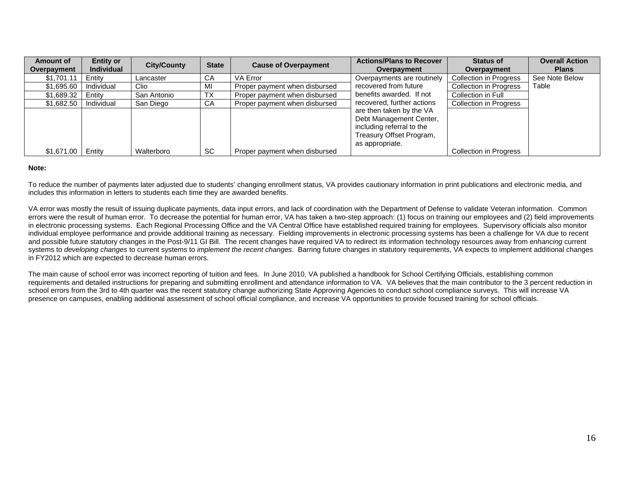| Amount of<br>Overpayment | <b>Entity or</b><br><b>Individual</b> | <b>City/County</b> | <b>State</b> | <b>Cause of Overpayment</b>   | <b>Actions/Plans to Recover</b><br>Overpayment                                                                                  | <b>Status of</b><br>Overpayment | <b>Overall Action</b><br><b>Plans</b> |
|--------------------------|---------------------------------------|--------------------|--------------|-------------------------------|---------------------------------------------------------------------------------------------------------------------------------|---------------------------------|---------------------------------------|
| \$1,701.11               | Entity                                | Lancaster          | CA           | <b>VA Error</b>               | Overpayments are routinely                                                                                                      | <b>Collection in Progress</b>   | See Note Below                        |
| \$1,695.60               | Individual                            | Clio               | MI           | Proper payment when disbursed | recovered from future                                                                                                           | <b>Collection in Progress</b>   | Table                                 |
| \$1,689.32               | Entitv                                | San Antonio        | <b>TX</b>    | Proper payment when disbursed | benefits awarded. If not                                                                                                        | Collection in Full              |                                       |
| \$1,682.50               | Individual                            | San Diego          | CA           | Proper payment when disbursed | recovered, further actions                                                                                                      | <b>Collection in Progress</b>   |                                       |
|                          |                                       |                    |              |                               | are then taken by the VA<br>Debt Management Center,<br>including referral to the<br>Treasury Offset Program,<br>as appropriate. |                                 |                                       |
| \$1,671.00               | Entity                                | Walterboro         | <b>SC</b>    | Proper payment when disbursed |                                                                                                                                 | <b>Collection in Progress</b>   |                                       |

#### **Note:**

To reduce the number of payments later adjusted due to students' changing enrollment status, VA provides cautionary information in print publications and electronic media, and includes this information in letters to students each time they are awarded benefits.

VA error was mostly the result of issuing duplicate payments, data input errors, and lack of coordination with the Department of Defense to validate Veteran information. Common errors were the result of human error. To decrease the potential for human error, VA has taken a two-step approach: (1) focus on training our employees and (2) field improvements in electronic processing systems. Each Regional Processing Office and the VA Central Office have established required training for employees. Supervisory officials also monitor individual employee performance and provide additional training as necessary. Fielding improvements in electronic processing systems has been a challenge for VA due to recent and possible future statutory changes in the Post-9/11 GI Bill. The recent changes have required VA to redirect its information technology resources away from *enhancing* current systems to *developing changes* to current systems to *implement the recent changes*. Barring future changes in statutory requirements, VA expects to implement additional changes in FY2012 which are expected to decrease human errors.

The main cause of school error was incorrect reporting of tuition and fees. In June 2010, VA published a handbook for School Certifying Officials, establishing common requirements and detailed instructions for preparing and submitting enrollment and attendance information to VA. VA believes that the main contributor to the 3 percent reduction in school errors from the 3rd to 4th quarter was the recent statutory change authorizing State Approving Agencies to conduct school compliance surveys. This will increase VA presence on campuses, enabling additional assessment of school official compliance, and increase VA opportunities to provide focused training for school officials.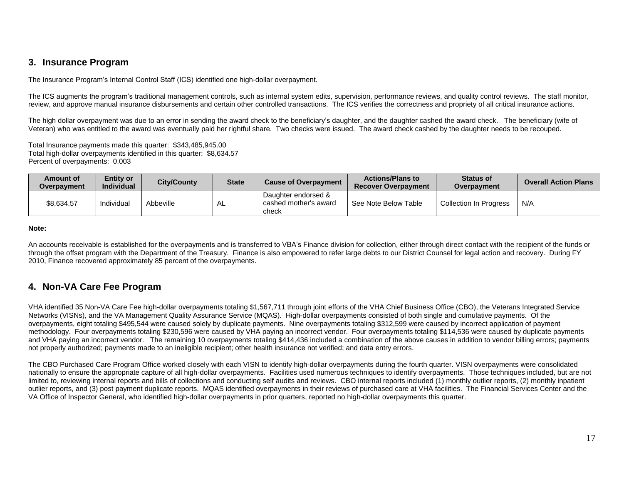## **3. Insurance Program**

The Insurance Program's Internal Control Staff (ICS) identified one high-dollar overpayment.

The ICS augments the program's traditional management controls, such as internal system edits, supervision, performance reviews, and quality control reviews. The staff monitor, review, and approve manual insurance disbursements and certain other controlled transactions. The ICS verifies the correctness and propriety of all critical insurance actions.

The high dollar overpayment was due to an error in sending the award check to the beneficiary's daughter, and the daughter cashed the award check. The beneficiary (wife of Veteran) who was entitled to the award was eventually paid her rightful share. Two checks were issued. The award check cashed by the daughter needs to be recouped.

Total Insurance payments made this quarter: \$343,485,945.00 Total high-dollar overpayments identified in this quarter: \$8,634.57 Percent of overpayments: 0.003

| Amount of<br>Overpavment | <b>Entity or</b><br><b>Individual</b> | <b>City/County</b> | <b>State</b> | <b>Cause of Overpayment</b>                           | <b>Actions/Plans to</b><br><b>Recover Overpayment</b> | <b>Status of</b><br>Overpayment | <b>Overall Action Plans</b> |
|--------------------------|---------------------------------------|--------------------|--------------|-------------------------------------------------------|-------------------------------------------------------|---------------------------------|-----------------------------|
| \$8,634.57               | Individual                            | Abbeville          | AL.          | Daughter endorsed &<br>cashed mother's award<br>check | See Note Below Table                                  | <b>Collection In Progress</b>   | N/A                         |

**Note:**

An accounts receivable is established for the overpayments and is transferred to VBA's Finance division for collection, either through direct contact with the recipient of the funds or through the offset program with the Department of the Treasury. Finance is also empowered to refer large debts to our District Counsel for legal action and recovery. During FY 2010, Finance recovered approximately 85 percent of the overpayments.

# **4. Non-VA Care Fee Program**

VHA identified 35 Non-VA Care Fee high-dollar overpayments totaling \$1,567,711 through joint efforts of the VHA Chief Business Office (CBO), the Veterans Integrated Service Networks (VISNs), and the VA Management Quality Assurance Service (MQAS). High-dollar overpayments consisted of both single and cumulative payments. Of the overpayments, eight totaling \$495,544 were caused solely by duplicate payments. Nine overpayments totaling \$312,599 were caused by incorrect application of payment methodology. Four overpayments totaling \$230,596 were caused by VHA paying an incorrect vendor. Four overpayments totaling \$114,536 were caused by duplicate payments and VHA paying an incorrect vendor. The remaining 10 overpayments totaling \$414,436 included a combination of the above causes in addition to vendor billing errors; payments not properly authorized; payments made to an ineligible recipient; other health insurance not verified; and data entry errors.

The CBO Purchased Care Program Office worked closely with each VISN to identify high-dollar overpayments during the fourth quarter. VISN overpayments were consolidated nationally to ensure the appropriate capture of all high-dollar overpayments. Facilities used numerous techniques to identify overpayments. Those techniques included, but are not limited to, reviewing internal reports and bills of collections and conducting self audits and reviews. CBO internal reports included (1) monthly outlier reports, (2) monthly inpatient outlier reports, and (3) post payment duplicate reports. MQAS identified overpayments in their reviews of purchased care at VHA facilities. The Financial Services Center and the VA Office of Inspector General, who identified high-dollar overpayments in prior quarters, reported no high-dollar overpayments this quarter.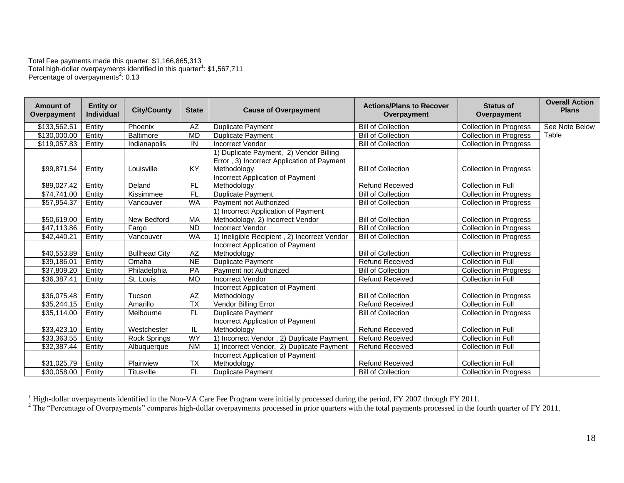Total Fee payments made this quarter: \$1,166,865,313 Total high-dollar overpayments identified in this quarter<sup>1</sup>: \$1,567,711 Percentage of overpayments<sup>2</sup>: 0.13

 $\overline{a}$ 

| <b>Bill of Collection</b><br>See Note Below<br>\$133,562.51<br>Entity<br>Phoenix<br>AΖ<br><b>Duplicate Payment</b><br><b>Collection in Progress</b><br><b>MD</b><br>Table<br>\$130,000.00<br>Entity<br><b>Baltimore</b><br><b>Bill of Collection</b><br><b>Collection in Progress</b><br><b>Duplicate Payment</b><br>IN<br>\$119,057.83<br><b>Incorrect Vendor</b><br><b>Bill of Collection</b><br><b>Collection in Progress</b><br>Entity<br>Indianapolis<br>1) Duplicate Payment, 2) Vendor Billing<br>Error, 3) Incorrect Application of Payment<br>KY<br>Entity<br>Methodology<br><b>Bill of Collection</b><br>\$99,871.54<br>Louisville<br><b>Collection in Progress</b><br>Incorrect Application of Payment<br><b>FL</b><br><b>Refund Received</b><br>\$89,027.42<br>Entity<br>Deland<br>Methodology<br>Collection in Full<br>F<br>\$74,741.00<br>Kissimmee<br><b>Bill of Collection</b><br>Entity<br><b>Duplicate Payment</b><br><b>Collection in Progress</b><br><b>WA</b><br>\$57,954.37<br>Payment not Authorized<br><b>Bill of Collection</b><br>Entity<br>Vancouver<br><b>Collection in Progress</b><br>1) Incorrect Application of Payment<br>\$50,619.00<br>New Bedford<br>MA<br>Methodology, 2) Incorrect Vendor<br><b>Bill of Collection</b><br>Entity<br><b>Collection in Progress</b><br>\$47,113.86<br><b>ND</b><br><b>Incorrect Vendor</b><br><b>Bill of Collection</b><br>Entity<br>Fargo<br><b>Collection in Progress</b><br><b>WA</b><br>1) Ineligible Recipient, 2) Incorrect Vendor<br>\$42,440.21<br><b>Bill of Collection</b><br><b>Collection in Progress</b><br>Entity<br>Vancouver<br>Incorrect Application of Payment<br>\$40,553.89<br><b>Bullhead City</b><br>AZ<br><b>Bill of Collection</b><br>Entity<br>Methodology<br><b>Collection in Progress</b><br><b>NE</b><br>\$39.186.01<br>Entity<br><b>Duplicate Payment</b><br><b>Refund Received</b><br>Collection in Full<br>Omaha<br>PA<br>\$37,809.20<br>Philadelphia<br>Payment not Authorized<br><b>Bill of Collection</b><br>Entity<br><b>Collection in Progress</b><br>\$36,387.41<br><b>MO</b><br><b>Incorrect Vendor</b><br>Collection in Full<br>St. Louis<br><b>Refund Received</b><br>Entity<br>Incorrect Application of Payment<br>AZ<br><b>Bill of Collection</b><br>\$36,075.48<br>Entity<br>Tucson<br>Methodology<br><b>Collection in Progress</b><br><b>TX</b><br>Vendor Billing Error<br><b>Refund Received</b><br>\$35,244.15<br>Amarillo<br><b>Collection in Full</b><br>Entity<br>\$35,114.00<br><b>FL</b><br><b>Duplicate Payment</b><br><b>Bill of Collection</b><br><b>Collection in Progress</b><br>Entity<br>Melbourne<br>Incorrect Application of Payment<br>Methodology<br><b>Refund Received</b><br><b>Collection in Full</b><br>\$33,423.10<br>Entity<br>Westchester<br>IL<br>WY<br>1) Incorrect Vendor, 2) Duplicate Payment<br>\$33,363.55<br><b>Refund Received</b><br>Collection in Full<br>Entity<br><b>Rock Springs</b><br>1) Incorrect Vendor, 2) Duplicate Payment<br>\$32,387.44<br><b>NM</b><br><b>Refund Received</b><br>Collection in Full<br>Entity<br>Albuquerque<br>Incorrect Application of Payment<br><b>TX</b><br><b>Refund Received</b><br>\$31,025.79<br>Entity<br>Methodology<br>Collection in Full<br>Plainview | <b>Amount of</b><br>Overpayment | <b>Entity or</b><br><b>Individual</b> | <b>City/County</b> | <b>State</b>    | <b>Cause of Overpayment</b> | <b>Actions/Plans to Recover</b><br>Overpayment | <b>Status of</b><br>Overpayment | <b>Overall Action</b><br><b>Plans</b> |
|-----------------------------------------------------------------------------------------------------------------------------------------------------------------------------------------------------------------------------------------------------------------------------------------------------------------------------------------------------------------------------------------------------------------------------------------------------------------------------------------------------------------------------------------------------------------------------------------------------------------------------------------------------------------------------------------------------------------------------------------------------------------------------------------------------------------------------------------------------------------------------------------------------------------------------------------------------------------------------------------------------------------------------------------------------------------------------------------------------------------------------------------------------------------------------------------------------------------------------------------------------------------------------------------------------------------------------------------------------------------------------------------------------------------------------------------------------------------------------------------------------------------------------------------------------------------------------------------------------------------------------------------------------------------------------------------------------------------------------------------------------------------------------------------------------------------------------------------------------------------------------------------------------------------------------------------------------------------------------------------------------------------------------------------------------------------------------------------------------------------------------------------------------------------------------------------------------------------------------------------------------------------------------------------------------------------------------------------------------------------------------------------------------------------------------------------------------------------------------------------------------------------------------------------------------------------------------------------------------------------------------------------------------------------------------------------------------------------------------------------------------------------------------------------------------------------------------------------------------------------------------------------------------------------------------------------------------------------------------------------------------------------------------------------------------------------------------------------------------------------------------------------------------------------------------------------------------------------------------------------------------|---------------------------------|---------------------------------------|--------------------|-----------------|-----------------------------|------------------------------------------------|---------------------------------|---------------------------------------|
|                                                                                                                                                                                                                                                                                                                                                                                                                                                                                                                                                                                                                                                                                                                                                                                                                                                                                                                                                                                                                                                                                                                                                                                                                                                                                                                                                                                                                                                                                                                                                                                                                                                                                                                                                                                                                                                                                                                                                                                                                                                                                                                                                                                                                                                                                                                                                                                                                                                                                                                                                                                                                                                                                                                                                                                                                                                                                                                                                                                                                                                                                                                                                                                                                                                     |                                 |                                       |                    |                 |                             |                                                |                                 |                                       |
|                                                                                                                                                                                                                                                                                                                                                                                                                                                                                                                                                                                                                                                                                                                                                                                                                                                                                                                                                                                                                                                                                                                                                                                                                                                                                                                                                                                                                                                                                                                                                                                                                                                                                                                                                                                                                                                                                                                                                                                                                                                                                                                                                                                                                                                                                                                                                                                                                                                                                                                                                                                                                                                                                                                                                                                                                                                                                                                                                                                                                                                                                                                                                                                                                                                     |                                 |                                       |                    |                 |                             |                                                |                                 |                                       |
|                                                                                                                                                                                                                                                                                                                                                                                                                                                                                                                                                                                                                                                                                                                                                                                                                                                                                                                                                                                                                                                                                                                                                                                                                                                                                                                                                                                                                                                                                                                                                                                                                                                                                                                                                                                                                                                                                                                                                                                                                                                                                                                                                                                                                                                                                                                                                                                                                                                                                                                                                                                                                                                                                                                                                                                                                                                                                                                                                                                                                                                                                                                                                                                                                                                     |                                 |                                       |                    |                 |                             |                                                |                                 |                                       |
|                                                                                                                                                                                                                                                                                                                                                                                                                                                                                                                                                                                                                                                                                                                                                                                                                                                                                                                                                                                                                                                                                                                                                                                                                                                                                                                                                                                                                                                                                                                                                                                                                                                                                                                                                                                                                                                                                                                                                                                                                                                                                                                                                                                                                                                                                                                                                                                                                                                                                                                                                                                                                                                                                                                                                                                                                                                                                                                                                                                                                                                                                                                                                                                                                                                     |                                 |                                       |                    |                 |                             |                                                |                                 |                                       |
|                                                                                                                                                                                                                                                                                                                                                                                                                                                                                                                                                                                                                                                                                                                                                                                                                                                                                                                                                                                                                                                                                                                                                                                                                                                                                                                                                                                                                                                                                                                                                                                                                                                                                                                                                                                                                                                                                                                                                                                                                                                                                                                                                                                                                                                                                                                                                                                                                                                                                                                                                                                                                                                                                                                                                                                                                                                                                                                                                                                                                                                                                                                                                                                                                                                     |                                 |                                       |                    |                 |                             |                                                |                                 |                                       |
|                                                                                                                                                                                                                                                                                                                                                                                                                                                                                                                                                                                                                                                                                                                                                                                                                                                                                                                                                                                                                                                                                                                                                                                                                                                                                                                                                                                                                                                                                                                                                                                                                                                                                                                                                                                                                                                                                                                                                                                                                                                                                                                                                                                                                                                                                                                                                                                                                                                                                                                                                                                                                                                                                                                                                                                                                                                                                                                                                                                                                                                                                                                                                                                                                                                     |                                 |                                       |                    |                 |                             |                                                |                                 |                                       |
|                                                                                                                                                                                                                                                                                                                                                                                                                                                                                                                                                                                                                                                                                                                                                                                                                                                                                                                                                                                                                                                                                                                                                                                                                                                                                                                                                                                                                                                                                                                                                                                                                                                                                                                                                                                                                                                                                                                                                                                                                                                                                                                                                                                                                                                                                                                                                                                                                                                                                                                                                                                                                                                                                                                                                                                                                                                                                                                                                                                                                                                                                                                                                                                                                                                     |                                 |                                       |                    |                 |                             |                                                |                                 |                                       |
|                                                                                                                                                                                                                                                                                                                                                                                                                                                                                                                                                                                                                                                                                                                                                                                                                                                                                                                                                                                                                                                                                                                                                                                                                                                                                                                                                                                                                                                                                                                                                                                                                                                                                                                                                                                                                                                                                                                                                                                                                                                                                                                                                                                                                                                                                                                                                                                                                                                                                                                                                                                                                                                                                                                                                                                                                                                                                                                                                                                                                                                                                                                                                                                                                                                     |                                 |                                       |                    |                 |                             |                                                |                                 |                                       |
|                                                                                                                                                                                                                                                                                                                                                                                                                                                                                                                                                                                                                                                                                                                                                                                                                                                                                                                                                                                                                                                                                                                                                                                                                                                                                                                                                                                                                                                                                                                                                                                                                                                                                                                                                                                                                                                                                                                                                                                                                                                                                                                                                                                                                                                                                                                                                                                                                                                                                                                                                                                                                                                                                                                                                                                                                                                                                                                                                                                                                                                                                                                                                                                                                                                     |                                 |                                       |                    |                 |                             |                                                |                                 |                                       |
|                                                                                                                                                                                                                                                                                                                                                                                                                                                                                                                                                                                                                                                                                                                                                                                                                                                                                                                                                                                                                                                                                                                                                                                                                                                                                                                                                                                                                                                                                                                                                                                                                                                                                                                                                                                                                                                                                                                                                                                                                                                                                                                                                                                                                                                                                                                                                                                                                                                                                                                                                                                                                                                                                                                                                                                                                                                                                                                                                                                                                                                                                                                                                                                                                                                     |                                 |                                       |                    |                 |                             |                                                |                                 |                                       |
|                                                                                                                                                                                                                                                                                                                                                                                                                                                                                                                                                                                                                                                                                                                                                                                                                                                                                                                                                                                                                                                                                                                                                                                                                                                                                                                                                                                                                                                                                                                                                                                                                                                                                                                                                                                                                                                                                                                                                                                                                                                                                                                                                                                                                                                                                                                                                                                                                                                                                                                                                                                                                                                                                                                                                                                                                                                                                                                                                                                                                                                                                                                                                                                                                                                     |                                 |                                       |                    |                 |                             |                                                |                                 |                                       |
|                                                                                                                                                                                                                                                                                                                                                                                                                                                                                                                                                                                                                                                                                                                                                                                                                                                                                                                                                                                                                                                                                                                                                                                                                                                                                                                                                                                                                                                                                                                                                                                                                                                                                                                                                                                                                                                                                                                                                                                                                                                                                                                                                                                                                                                                                                                                                                                                                                                                                                                                                                                                                                                                                                                                                                                                                                                                                                                                                                                                                                                                                                                                                                                                                                                     |                                 |                                       |                    |                 |                             |                                                |                                 |                                       |
|                                                                                                                                                                                                                                                                                                                                                                                                                                                                                                                                                                                                                                                                                                                                                                                                                                                                                                                                                                                                                                                                                                                                                                                                                                                                                                                                                                                                                                                                                                                                                                                                                                                                                                                                                                                                                                                                                                                                                                                                                                                                                                                                                                                                                                                                                                                                                                                                                                                                                                                                                                                                                                                                                                                                                                                                                                                                                                                                                                                                                                                                                                                                                                                                                                                     |                                 |                                       |                    |                 |                             |                                                |                                 |                                       |
|                                                                                                                                                                                                                                                                                                                                                                                                                                                                                                                                                                                                                                                                                                                                                                                                                                                                                                                                                                                                                                                                                                                                                                                                                                                                                                                                                                                                                                                                                                                                                                                                                                                                                                                                                                                                                                                                                                                                                                                                                                                                                                                                                                                                                                                                                                                                                                                                                                                                                                                                                                                                                                                                                                                                                                                                                                                                                                                                                                                                                                                                                                                                                                                                                                                     |                                 |                                       |                    |                 |                             |                                                |                                 |                                       |
|                                                                                                                                                                                                                                                                                                                                                                                                                                                                                                                                                                                                                                                                                                                                                                                                                                                                                                                                                                                                                                                                                                                                                                                                                                                                                                                                                                                                                                                                                                                                                                                                                                                                                                                                                                                                                                                                                                                                                                                                                                                                                                                                                                                                                                                                                                                                                                                                                                                                                                                                                                                                                                                                                                                                                                                                                                                                                                                                                                                                                                                                                                                                                                                                                                                     |                                 |                                       |                    |                 |                             |                                                |                                 |                                       |
|                                                                                                                                                                                                                                                                                                                                                                                                                                                                                                                                                                                                                                                                                                                                                                                                                                                                                                                                                                                                                                                                                                                                                                                                                                                                                                                                                                                                                                                                                                                                                                                                                                                                                                                                                                                                                                                                                                                                                                                                                                                                                                                                                                                                                                                                                                                                                                                                                                                                                                                                                                                                                                                                                                                                                                                                                                                                                                                                                                                                                                                                                                                                                                                                                                                     |                                 |                                       |                    |                 |                             |                                                |                                 |                                       |
|                                                                                                                                                                                                                                                                                                                                                                                                                                                                                                                                                                                                                                                                                                                                                                                                                                                                                                                                                                                                                                                                                                                                                                                                                                                                                                                                                                                                                                                                                                                                                                                                                                                                                                                                                                                                                                                                                                                                                                                                                                                                                                                                                                                                                                                                                                                                                                                                                                                                                                                                                                                                                                                                                                                                                                                                                                                                                                                                                                                                                                                                                                                                                                                                                                                     |                                 |                                       |                    |                 |                             |                                                |                                 |                                       |
|                                                                                                                                                                                                                                                                                                                                                                                                                                                                                                                                                                                                                                                                                                                                                                                                                                                                                                                                                                                                                                                                                                                                                                                                                                                                                                                                                                                                                                                                                                                                                                                                                                                                                                                                                                                                                                                                                                                                                                                                                                                                                                                                                                                                                                                                                                                                                                                                                                                                                                                                                                                                                                                                                                                                                                                                                                                                                                                                                                                                                                                                                                                                                                                                                                                     |                                 |                                       |                    |                 |                             |                                                |                                 |                                       |
|                                                                                                                                                                                                                                                                                                                                                                                                                                                                                                                                                                                                                                                                                                                                                                                                                                                                                                                                                                                                                                                                                                                                                                                                                                                                                                                                                                                                                                                                                                                                                                                                                                                                                                                                                                                                                                                                                                                                                                                                                                                                                                                                                                                                                                                                                                                                                                                                                                                                                                                                                                                                                                                                                                                                                                                                                                                                                                                                                                                                                                                                                                                                                                                                                                                     |                                 |                                       |                    |                 |                             |                                                |                                 |                                       |
|                                                                                                                                                                                                                                                                                                                                                                                                                                                                                                                                                                                                                                                                                                                                                                                                                                                                                                                                                                                                                                                                                                                                                                                                                                                                                                                                                                                                                                                                                                                                                                                                                                                                                                                                                                                                                                                                                                                                                                                                                                                                                                                                                                                                                                                                                                                                                                                                                                                                                                                                                                                                                                                                                                                                                                                                                                                                                                                                                                                                                                                                                                                                                                                                                                                     |                                 |                                       |                    |                 |                             |                                                |                                 |                                       |
|                                                                                                                                                                                                                                                                                                                                                                                                                                                                                                                                                                                                                                                                                                                                                                                                                                                                                                                                                                                                                                                                                                                                                                                                                                                                                                                                                                                                                                                                                                                                                                                                                                                                                                                                                                                                                                                                                                                                                                                                                                                                                                                                                                                                                                                                                                                                                                                                                                                                                                                                                                                                                                                                                                                                                                                                                                                                                                                                                                                                                                                                                                                                                                                                                                                     |                                 |                                       |                    |                 |                             |                                                |                                 |                                       |
|                                                                                                                                                                                                                                                                                                                                                                                                                                                                                                                                                                                                                                                                                                                                                                                                                                                                                                                                                                                                                                                                                                                                                                                                                                                                                                                                                                                                                                                                                                                                                                                                                                                                                                                                                                                                                                                                                                                                                                                                                                                                                                                                                                                                                                                                                                                                                                                                                                                                                                                                                                                                                                                                                                                                                                                                                                                                                                                                                                                                                                                                                                                                                                                                                                                     |                                 |                                       |                    |                 |                             |                                                |                                 |                                       |
|                                                                                                                                                                                                                                                                                                                                                                                                                                                                                                                                                                                                                                                                                                                                                                                                                                                                                                                                                                                                                                                                                                                                                                                                                                                                                                                                                                                                                                                                                                                                                                                                                                                                                                                                                                                                                                                                                                                                                                                                                                                                                                                                                                                                                                                                                                                                                                                                                                                                                                                                                                                                                                                                                                                                                                                                                                                                                                                                                                                                                                                                                                                                                                                                                                                     |                                 |                                       |                    |                 |                             |                                                |                                 |                                       |
|                                                                                                                                                                                                                                                                                                                                                                                                                                                                                                                                                                                                                                                                                                                                                                                                                                                                                                                                                                                                                                                                                                                                                                                                                                                                                                                                                                                                                                                                                                                                                                                                                                                                                                                                                                                                                                                                                                                                                                                                                                                                                                                                                                                                                                                                                                                                                                                                                                                                                                                                                                                                                                                                                                                                                                                                                                                                                                                                                                                                                                                                                                                                                                                                                                                     |                                 |                                       |                    |                 |                             |                                                |                                 |                                       |
|                                                                                                                                                                                                                                                                                                                                                                                                                                                                                                                                                                                                                                                                                                                                                                                                                                                                                                                                                                                                                                                                                                                                                                                                                                                                                                                                                                                                                                                                                                                                                                                                                                                                                                                                                                                                                                                                                                                                                                                                                                                                                                                                                                                                                                                                                                                                                                                                                                                                                                                                                                                                                                                                                                                                                                                                                                                                                                                                                                                                                                                                                                                                                                                                                                                     |                                 |                                       |                    |                 |                             |                                                |                                 |                                       |
|                                                                                                                                                                                                                                                                                                                                                                                                                                                                                                                                                                                                                                                                                                                                                                                                                                                                                                                                                                                                                                                                                                                                                                                                                                                                                                                                                                                                                                                                                                                                                                                                                                                                                                                                                                                                                                                                                                                                                                                                                                                                                                                                                                                                                                                                                                                                                                                                                                                                                                                                                                                                                                                                                                                                                                                                                                                                                                                                                                                                                                                                                                                                                                                                                                                     | \$30,058.00                     | Entity                                | Titusville         | $\overline{FL}$ | <b>Duplicate Payment</b>    | <b>Bill of Collection</b>                      | <b>Collection in Progress</b>   |                                       |

 $1$  High-dollar overpayments identified in the Non-VA Care Fee Program were initially processed during the period, FY 2007 through FY 2011.

 $2^2$  The "Percentage of Overpayments" compares high-dollar overpayments processed in prior quarters with the total payments processed in the fourth quarter of FY 2011.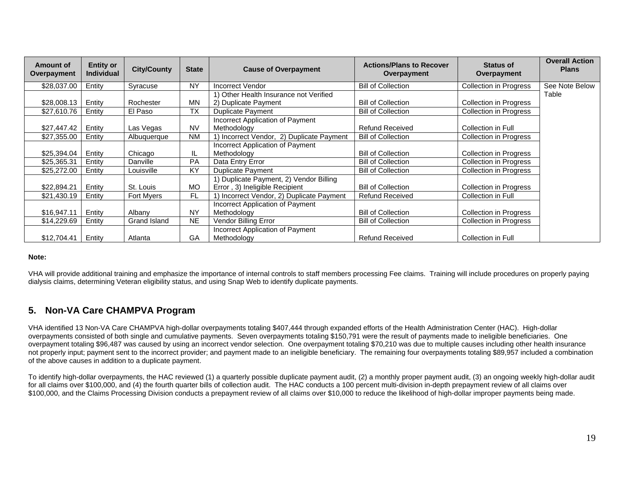| <b>Amount of</b><br>Overpayment | <b>Entity or</b><br><b>Individual</b> | <b>City/County</b> | <b>State</b> | <b>Cause of Overpayment</b>               | <b>Actions/Plans to Recover</b><br>Overpayment | <b>Status of</b><br>Overpayment | <b>Overall Action</b><br><b>Plans</b> |
|---------------------------------|---------------------------------------|--------------------|--------------|-------------------------------------------|------------------------------------------------|---------------------------------|---------------------------------------|
| \$28,037.00                     | Entity                                | Syracuse           | <b>NY</b>    | <b>Incorrect Vendor</b>                   | <b>Bill of Collection</b>                      | <b>Collection in Progress</b>   | See Note Below                        |
|                                 |                                       |                    |              | 1) Other Health Insurance not Verified    |                                                |                                 | Table                                 |
| \$28,008.13                     | Entity                                | Rochester          | MΝ           | 2) Duplicate Payment                      | <b>Bill of Collection</b>                      | Collection in Progress          |                                       |
| \$27,610.76                     | Entity                                | El Paso            | <b>TX</b>    | Duplicate Payment                         | <b>Bill of Collection</b>                      | <b>Collection in Progress</b>   |                                       |
|                                 |                                       |                    |              | Incorrect Application of Payment          |                                                |                                 |                                       |
| \$27,447.42                     | Entity                                | Las Vegas          | <b>NV</b>    | Methodology                               | <b>Refund Received</b>                         | Collection in Full              |                                       |
| \$27,355.00                     | Entity                                | Albuquerque        | <b>NM</b>    | 1) Incorrect Vendor, 2) Duplicate Payment | <b>Bill of Collection</b>                      | Collection in Progress          |                                       |
|                                 |                                       |                    |              | Incorrect Application of Payment          |                                                |                                 |                                       |
| \$25,394.04                     | Entity                                | Chicago            | IL           | Methodology                               | <b>Bill of Collection</b>                      | <b>Collection in Progress</b>   |                                       |
| \$25,365.31                     | Entity                                | Danville           | PA           | Data Entry Error                          | <b>Bill of Collection</b>                      | Collection in Progress          |                                       |
| \$25,272.00                     | Entity                                | Louisville         | KY           | <b>Duplicate Payment</b>                  | <b>Bill of Collection</b>                      | <b>Collection in Progress</b>   |                                       |
|                                 |                                       |                    |              | 1) Duplicate Payment, 2) Vendor Billing   |                                                |                                 |                                       |
| \$22,894.21                     | Entity                                | St. Louis          | MO           | Error, 3) Ineligible Recipient            | <b>Bill of Collection</b>                      | Collection in Progress          |                                       |
| \$21,430.19                     | Entity                                | <b>Fort Myers</b>  | FL.          | 1) Incorrect Vendor, 2) Duplicate Payment | <b>Refund Received</b>                         | Collection in Full              |                                       |
|                                 |                                       |                    |              | Incorrect Application of Payment          |                                                |                                 |                                       |
| \$16,947.11                     | Entity                                | Albany             | NY           | Methodology                               | <b>Bill of Collection</b>                      | Collection in Progress          |                                       |
| \$14,229.69                     | Entity                                | Grand Island       | <b>NE</b>    | Vendor Billing Error                      | <b>Bill of Collection</b>                      | <b>Collection in Progress</b>   |                                       |
|                                 |                                       |                    |              | Incorrect Application of Payment          |                                                |                                 |                                       |
| \$12,704.41                     | Entity                                | Atlanta            | GA           | Methodology                               | <b>Refund Received</b>                         | Collection in Full              |                                       |

#### **Note:**

VHA will provide additional training and emphasize the importance of internal controls to staff members processing Fee claims. Training will include procedures on properly paying dialysis claims, determining Veteran eligibility status, and using Snap Web to identify duplicate payments.

# **5. Non-VA Care CHAMPVA Program**

VHA identified 13 Non-VA Care CHAMPVA high-dollar overpayments totaling \$407,444 through expanded efforts of the Health Administration Center (HAC). High-dollar overpayments consisted of both single and cumulative payments. Seven overpayments totaling \$150,791 were the result of payments made to ineligible beneficiaries. One overpayment totaling \$96,487 was caused by using an incorrect vendor selection. One overpayment totaling \$70,210 was due to multiple causes including other health insurance not properly input; payment sent to the incorrect provider; and payment made to an ineligible beneficiary. The remaining four overpayments totaling \$89,957 included a combination of the above causes in addition to a duplicate payment.

To identify high-dollar overpayments, the HAC reviewed (1) a quarterly possible duplicate payment audit, (2) a monthly proper payment audit, (3) an ongoing weekly high-dollar audit for all claims over \$100,000, and (4) the fourth quarter bills of collection audit. The HAC conducts a 100 percent multi-division in-depth prepayment review of all claims over \$100,000, and the Claims Processing Division conducts a prepayment review of all claims over \$10,000 to reduce the likelihood of high-dollar improper payments being made.